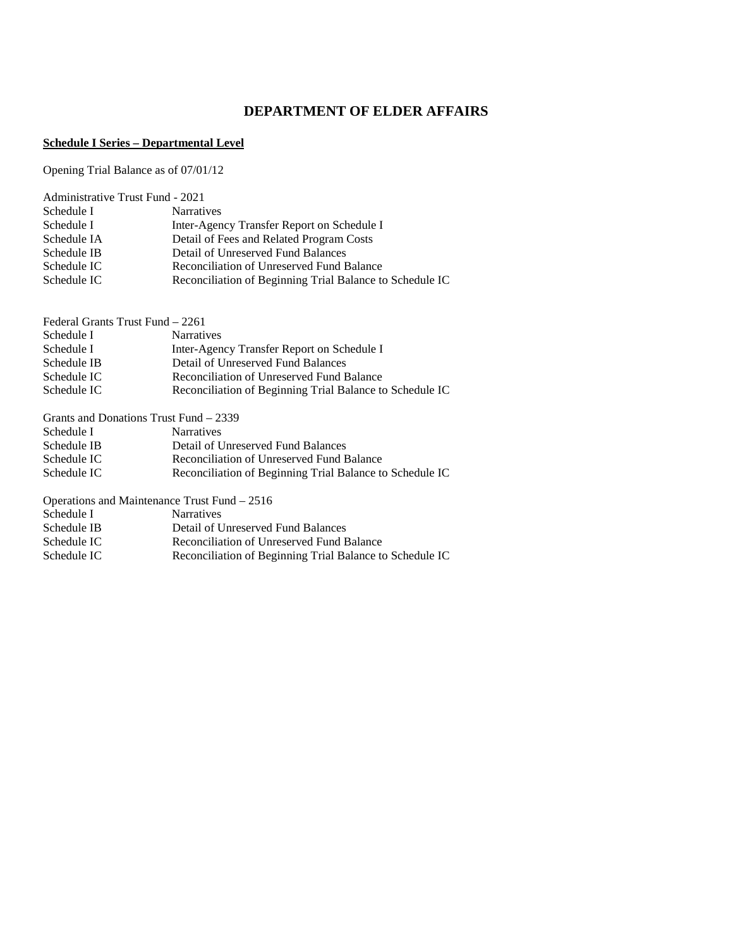# **DEPARTMENT OF ELDER AFFAIRS**

### **Schedule I Series – Departmental Level**

Opening Trial Balance as of 07/01/12

| <b>Administrative Trust Fund - 2021</b> |                                                          |  |  |  |  |
|-----------------------------------------|----------------------------------------------------------|--|--|--|--|
| Schedule I                              | <b>Narratives</b>                                        |  |  |  |  |
| Schedule I                              | Inter-Agency Transfer Report on Schedule I               |  |  |  |  |
| Schedule IA                             | Detail of Fees and Related Program Costs                 |  |  |  |  |
| Schedule IB                             | Detail of Unreserved Fund Balances                       |  |  |  |  |
| Schedule IC                             | Reconciliation of Unreserved Fund Balance                |  |  |  |  |
| Schedule IC                             | Reconciliation of Beginning Trial Balance to Schedule IC |  |  |  |  |

| Federal Grants Trust Fund – 2261 |                                                          |
|----------------------------------|----------------------------------------------------------|
| Schedule I                       | <b>Narratives</b>                                        |
| Schedule I                       | Inter-Agency Transfer Report on Schedule I               |
| Schedule IB                      | Detail of Unreserved Fund Balances                       |
| Schedule IC                      | Reconciliation of Unreserved Fund Balance                |
| Schedule IC                      | Reconciliation of Beginning Trial Balance to Schedule IC |
|                                  | Grants and Donations Trust Fund – 2339                   |
| Schedule I                       | <b>Narratives</b>                                        |
| Schedule IB                      | Detail of Unreserved Fund Balances                       |
| Schedule IC                      | Reconciliation of Unreserved Fund Balance                |
| Schedule IC                      | Reconciliation of Beginning Trial Balance to Schedule IC |
|                                  | Operations and Maintenance Trust Fund $-2516$            |
| Schedule I                       | <b>Narratives</b>                                        |
| Schedule IB                      | Detail of Unreserved Fund Balances                       |

Reconciliation of Beginning Trial Balance to Schedule IC

Schedule IC Reconciliation of Unreserved Fund Balance<br>Schedule IC Reconciliation of Beginning Trial Balance to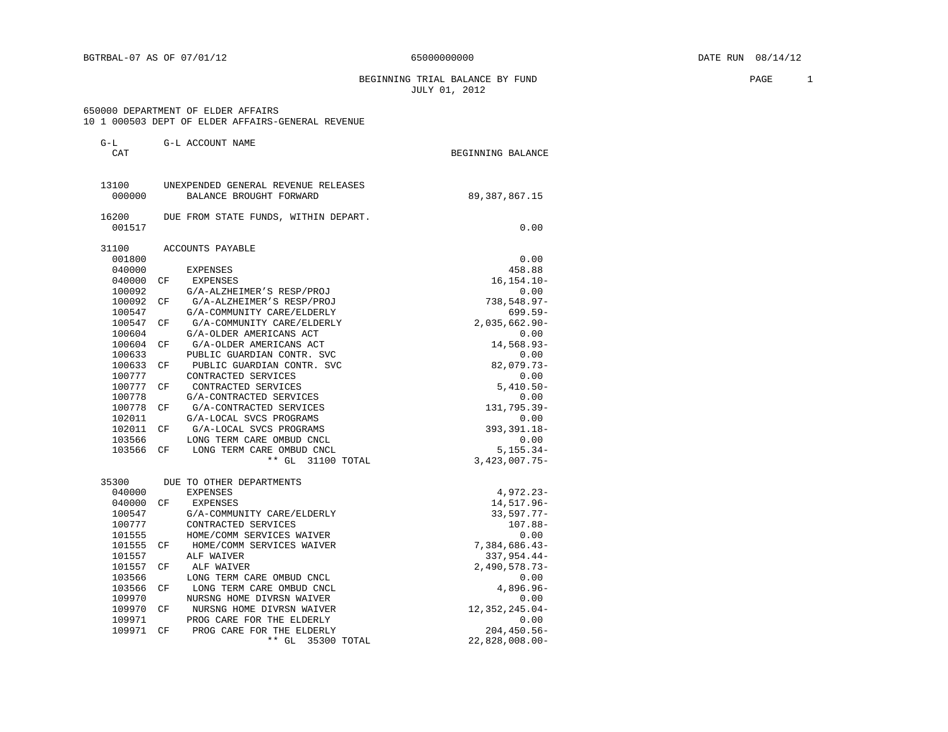BEGINNING TRIAL BALANCE BY FUND **EXAMPLE 1** PAGE 1 JULY 01, 2012

#### 650000 DEPARTMENT OF ELDER AFFAIRS 10 1 000503 DEPT OF ELDER AFFAIRS-GENERAL REVENUE

|  |  |  |  |  |  | IU I UUUSU3 DEPI OF ELDER AFFAIRS-GENERAL REVENUE |  |  |
|--|--|--|--|--|--|---------------------------------------------------|--|--|
|--|--|--|--|--|--|---------------------------------------------------|--|--|

| $G-L$  |     | G-L ACCOUNT NAME                     |                   |
|--------|-----|--------------------------------------|-------------------|
| CAT    |     |                                      | BEGINNING BALANCE |
| 13100  |     | UNEXPENDED GENERAL REVENUE RELEASES  |                   |
| 000000 |     | BALANCE BROUGHT FORWARD              | 89, 387, 867. 15  |
| 16200  |     | DUE FROM STATE FUNDS, WITHIN DEPART. |                   |
| 001517 |     |                                      | 0.00              |
| 31100  |     | ACCOUNTS PAYABLE                     |                   |
| 001800 |     |                                      | 0.00              |
| 040000 |     | <b>EXPENSES</b>                      | 458.88            |
| 040000 | CF  | EXPENSES                             | $16, 154.10 -$    |
| 100092 |     | G/A-ALZHEIMER'S RESP/PROJ            | 0.00              |
| 100092 | CF  | G/A-ALZHEIMER'S RESP/PROJ            | $738,548.97 -$    |
| 100547 |     | G/A-COMMUNITY CARE/ELDERLY           | $699.59 -$        |
| 100547 | CF. | G/A-COMMUNITY CARE/ELDERLY           | $2,035,662.90-$   |
| 100604 |     | G/A-OLDER AMERICANS ACT              | 0.00              |
| 100604 | CF. | G/A-OLDER AMERICANS ACT              | 14,568.93-        |
| 100633 |     | PUBLIC GUARDIAN CONTR. SVC           | 0.00              |
| 100633 | CF  | PUBLIC GUARDIAN CONTR. SVC           | $82,079.73-$      |
| 100777 |     | CONTRACTED SERVICES                  | 0.00              |
| 100777 | CF. | CONTRACTED SERVICES                  | $5,410.50 -$      |
| 100778 |     | G/A-CONTRACTED SERVICES              | 0.00              |
| 100778 | CF  | G/A-CONTRACTED SERVICES              | 131,795.39-       |
| 102011 |     | G/A-LOCAL SVCS PROGRAMS              | 0.00              |
| 102011 | CF  | G/A-LOCAL SVCS PROGRAMS              | 393, 391.18-      |
| 103566 |     | LONG TERM CARE OMBUD CNCL            | 0.00              |
| 103566 | CF  | LONG TERM CARE OMBUD CNCL            | $5,155.34-$       |
|        |     | ** GL 31100 TOTAL                    | $3,423,007.75-$   |
| 35300  |     | DUE TO OTHER DEPARTMENTS             |                   |
| 040000 |     | <b>EXPENSES</b>                      | 4,972.23-         |
| 040000 | СF  | EXPENSES                             | 14,517.96-        |
| 100547 |     | G/A-COMMUNITY CARE/ELDERLY           | $33,597.77-$      |
| 100777 |     | CONTRACTED SERVICES                  | $107.88 -$        |
| 101555 |     | HOME/COMM SERVICES WAIVER            | 0.00              |
| 101555 | СF  | HOME/COMM SERVICES WAIVER            | 7,384,686.43-     |
| 101557 |     | ALF WAIVER                           | $337,954.44-$     |
| 101557 | CF  | ALF WAIVER                           | $2,490,578.73-$   |
| 103566 |     | LONG TERM CARE OMBUD CNCL            | 0.00              |
| 103566 | CF. | LONG TERM CARE OMBUD CNCL            | 4,896.96-         |
| 109970 |     | NURSNG HOME DIVRSN WAIVER            | 0.00              |
| 109970 | СF  | NURSNG HOME DIVRSN WAIVER            | 12, 352, 245.04-  |
| 109971 |     | PROG CARE FOR THE ELDERLY            | 0.00              |
| 109971 | CF  | PROG CARE FOR THE ELDERLY            | $204, 450.56 -$   |
|        |     | $**$ GL<br>35300 TOTAL               | $22,828,008.00-$  |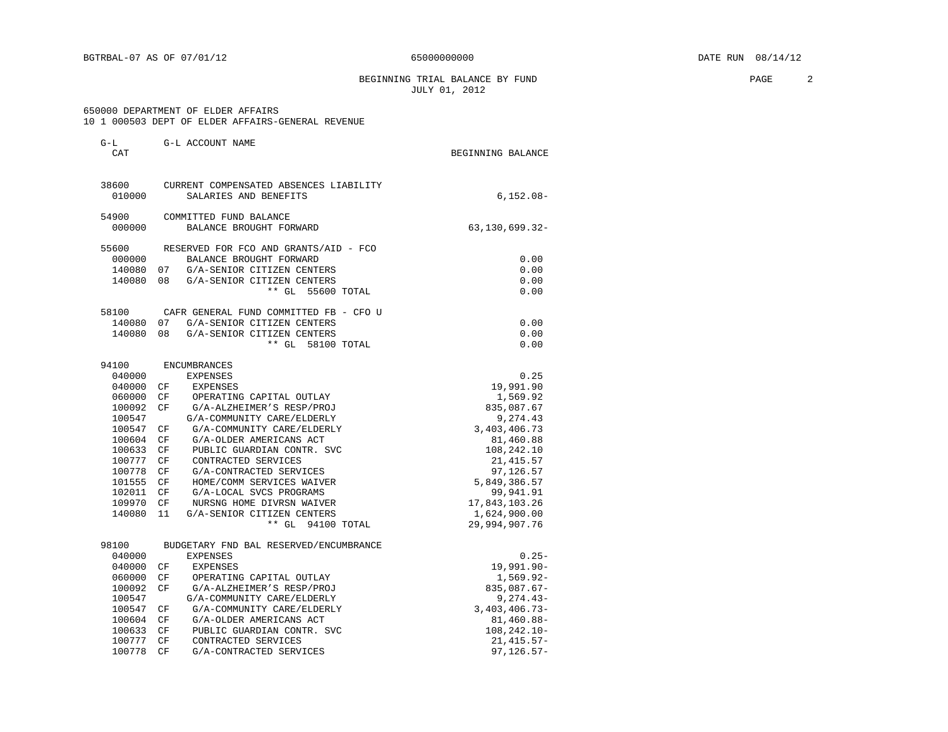BEGINNING TRIAL BALANCE BY FUND **PAGE** 2 JULY 01, 2012

#### 650000 DEPARTMENT OF ELDER AFFAIRS 10 1 000503 DEPT OF ELDER AFFAIRS-GENERAL REVENUE

G-L G-L ACCOUNT NAME

|  |  |  | IV I VVVJVJ DEFI VR EDDEK ARRAIKS-GENEKAD KEVENUE |  |
|--|--|--|---------------------------------------------------|--|
|  |  |  |                                                   |  |

| CAT    |          |                                        | BEGINNING BALANCE |
|--------|----------|----------------------------------------|-------------------|
| 38600  |          | CURRENT COMPENSATED ABSENCES LIABILITY |                   |
| 010000 |          | SALARIES AND BENEFITS                  | $6, 152.08 -$     |
| 54900  |          | COMMITTED FUND BALANCE                 |                   |
| 000000 |          | BALANCE BROUGHT FORWARD                | 63, 130, 699. 32- |
| 55600  |          | RESERVED FOR FCO AND GRANTS/AID - FCO  |                   |
| 000000 |          | BALANCE BROUGHT FORWARD                | 0.00              |
| 140080 | 07       | G/A-SENIOR CITIZEN CENTERS             | 0.00              |
| 140080 | 08       | G/A-SENIOR CITIZEN CENTERS             | 0.00              |
|        |          | ** GL 55600 TOTAL                      | 0.00              |
| 58100  |          | CAFR GENERAL FUND COMMITTED FB - CFO U |                   |
| 140080 |          | 07 G/A-SENIOR CITIZEN CENTERS          | 0.00              |
| 140080 | 08       | G/A-SENIOR CITIZEN CENTERS             | 0.00              |
|        |          | $**$ GL<br>58100 TOTAL                 | 0.00              |
| 94100  |          | <b>ENCUMBRANCES</b>                    |                   |
| 040000 |          | <b>EXPENSES</b>                        | 0.25              |
| 040000 | CF.      | EXPENSES                               | 19,991.90         |
| 060000 | CF       | OPERATING CAPITAL OUTLAY               | 1,569.92          |
| 100092 | CF       | G/A-ALZHEIMER'S RESP/PROJ              | 835,087.67        |
| 100547 |          | G/A-COMMUNITY CARE/ELDERLY             | 9,274.43          |
| 100547 | CF       | G/A-COMMUNITY CARE/ELDERLY             | 3,403,406.73      |
| 100604 | CF       | G/A-OLDER AMERICANS ACT                | 81,460.88         |
| 100633 | CF       | PUBLIC GUARDIAN CONTR. SVC             | 108,242.10        |
| 100777 | CF       | CONTRACTED SERVICES                    | 21, 415.57        |
| 100778 | CF       | G/A-CONTRACTED SERVICES                | 97,126.57         |
| 101555 | $\rm CF$ | HOME/COMM SERVICES WAIVER              | 5,849,386.57      |
| 102011 | СF       | G/A-LOCAL SVCS PROGRAMS                | 99,941.91         |
| 109970 | CF       | NURSNG HOME DIVRSN WAIVER              | 17,843,103.26     |
| 140080 | 11       | G/A-SENIOR CITIZEN CENTERS             | 1,624,900.00      |
|        |          | ** GL 94100 TOTAL                      | 29,994,907.76     |
| 98100  |          | BUDGETARY FND BAL RESERVED/ENCUMBRANCE |                   |
| 040000 |          | <b>EXPENSES</b>                        | $0.25 -$          |
| 040000 | CF       | EXPENSES                               | 19,991.90-        |
| 060000 | CF       | OPERATING CAPITAL OUTLAY               | $1,569.92 -$      |
| 100092 | CF       | G/A-ALZHEIMER'S RESP/PROJ              | 835,087.67-       |
| 100547 |          | G/A-COMMUNITY CARE/ELDERLY             | $9,274.43-$       |

100547 CF G/A-COMMUNITY CARE/ELDERLY 3,403,406.73-

100778 CF G/A-CONTRACTED SERVICES

100604 CF G/A-OLDER AMERICANS ACT 61.460.88-100633 CF PUBLIC GUARDIAN CONTR. SVC 81.480.88-1008,242.10-100633 CF PUBLIC GUARDIAN CONTR. SVC 108,242.10-100777 CF CONTRACTED SERVICES 100777 CF CONTRACTED SERVICES 21,415.57-100778 CF  $G/A$ -CONTRACTED SERVICES 37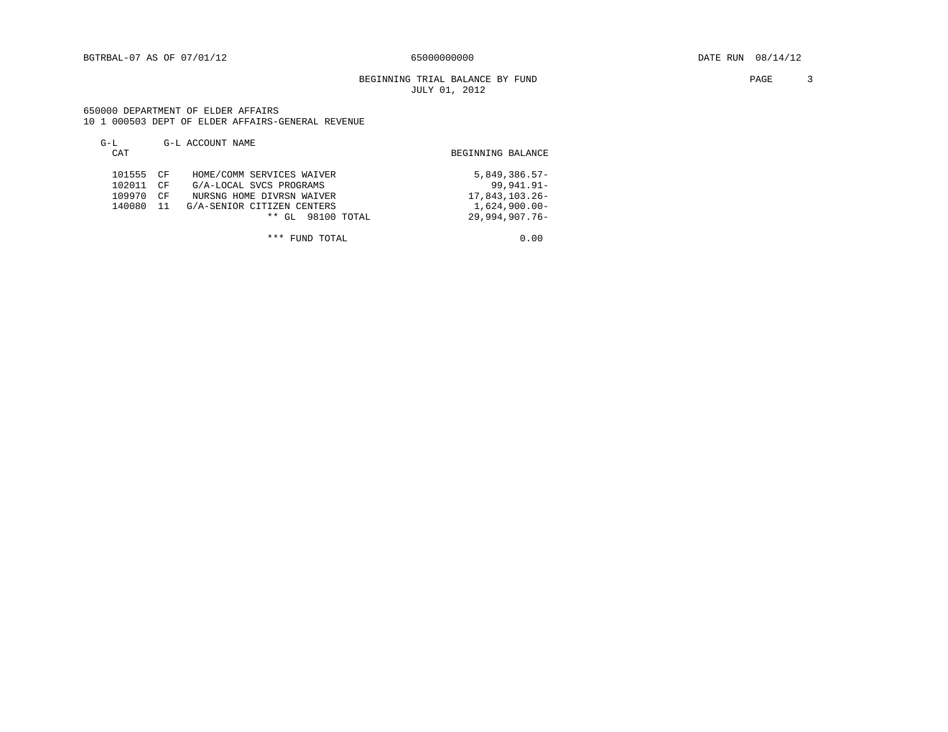#### BEGINNING TRIAL BALANCE BY FUND **PAGE** 3 JULY 01, 2012

#### 650000 DEPARTMENT OF ELDER AFFAIRS 10 1 000503 DEPT OF ELDER AFFAIRS-GENERAL REVENUE

| $G-L$<br>CAT                            | G-L ACCOUNT NAME                                                                                                                                              | BEGINNING BALANCE                                                                           |
|-----------------------------------------|---------------------------------------------------------------------------------------------------------------------------------------------------------------|---------------------------------------------------------------------------------------------|
| 101555 CF<br>102011<br>109970<br>140080 | HOME/COMM SERVICES WAIVER<br>G/A-LOCAL SVCS PROGRAMS<br>CF<br>NURSNG HOME DIVRSN WAIVER<br>CF<br>G/A-SENIOR CITIZEN CENTERS<br>-11<br>GL 98100 TOTAL<br>$***$ | $5,849,386.57-$<br>$99,941.91 -$<br>17,843,103.26-<br>$1.624.900.00 -$<br>$29,994,907,76$ - |

\*\*\* FUND TOTAL 0.00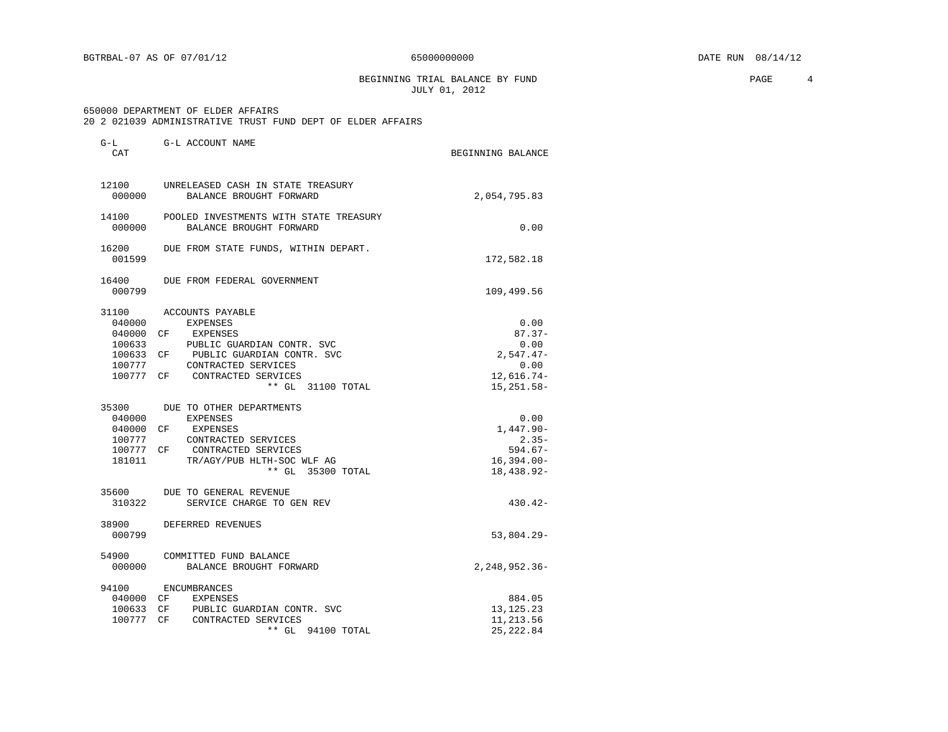BEGINNING TRIAL BALANCE BY FUND **PAGE** 4 JULY 01, 2012

#### 650000 DEPARTMENT OF ELDER AFFAIRS 20 2 021039 ADMINISTRATIVE TRUST FUND DEPT OF ELDER AFFAIRS

| $G-L$<br>CAT               | G-L ACCOUNT NAME                                                                                                                                                                                                | BEGINNING BALANCE                                                               |
|----------------------------|-----------------------------------------------------------------------------------------------------------------------------------------------------------------------------------------------------------------|---------------------------------------------------------------------------------|
| 12100<br>000000            | UNRELEASED CASH IN STATE TREASURY<br>BALANCE BROUGHT FORWARD                                                                                                                                                    | 2,054,795.83                                                                    |
| 14100<br>000000            | POOLED INVESTMENTS WITH STATE TREASURY<br>BALANCE BROUGHT FORWARD                                                                                                                                               | 0.00                                                                            |
| 16200<br>001599            | DUE FROM STATE FUNDS, WITHIN DEPART.                                                                                                                                                                            | 172,582.18                                                                      |
| 16400<br>000799            | DUE FROM FEDERAL GOVERNMENT                                                                                                                                                                                     | 109,499.56                                                                      |
| 31100<br>040000<br>100633  | ACCOUNTS PAYABLE<br>EXPENSES<br>040000 CF EXPENSES<br>PUBLIC GUARDIAN CONTR. SVC<br>100633 CF PUBLIC GUARDIAN CONTR. SVC<br>CONTRACTED SERVICES<br>100777<br>100777 CF CONTRACTED SERVICES<br>** GL 31100 TOTAL | 0.00<br>$87.37 -$<br>0.00<br>$2,547.47-$<br>0.00<br>$12,616.74-$<br>15, 251.58- |
| 040000<br>100777<br>181011 | 35300 DUE TO OTHER DEPARTMENTS<br>EXPENSES<br>040000 CF EXPENSES<br>CONTRACTED SERVICES<br>100777 CF CONTRACTED SERVICES<br>TR/AGY/PUB HLTH-SOC WLF AG<br>** GL 35300 TOTAL                                     | 0.00<br>$1,447.90 -$<br>$2.35-$<br>$594.67-$<br>$16,394.00 -$<br>18,438.92-     |
| 35600<br>310322            | DUE TO GENERAL REVENUE<br>SERVICE CHARGE TO GEN REV                                                                                                                                                             | $430.42 -$                                                                      |
| 38900<br>000799            | DEFERRED REVENUES                                                                                                                                                                                               | 53,804.29-                                                                      |
| 000000                     | 54900 COMMITTED FUND BALANCE<br>BALANCE BROUGHT FORWARD                                                                                                                                                         | $2, 248, 952.36 -$                                                              |
| 94100                      | ENCUMBRANCES<br>040000 CF EXPENSES<br>100633 CF PUBLIC GUARDIAN CONTR. SVC<br>100777 CF CONTRACTED SERVICES<br>** GL 94100 TOTAL                                                                                | 884.05<br>13, 125. 23<br>11,213.56<br>25, 222.84                                |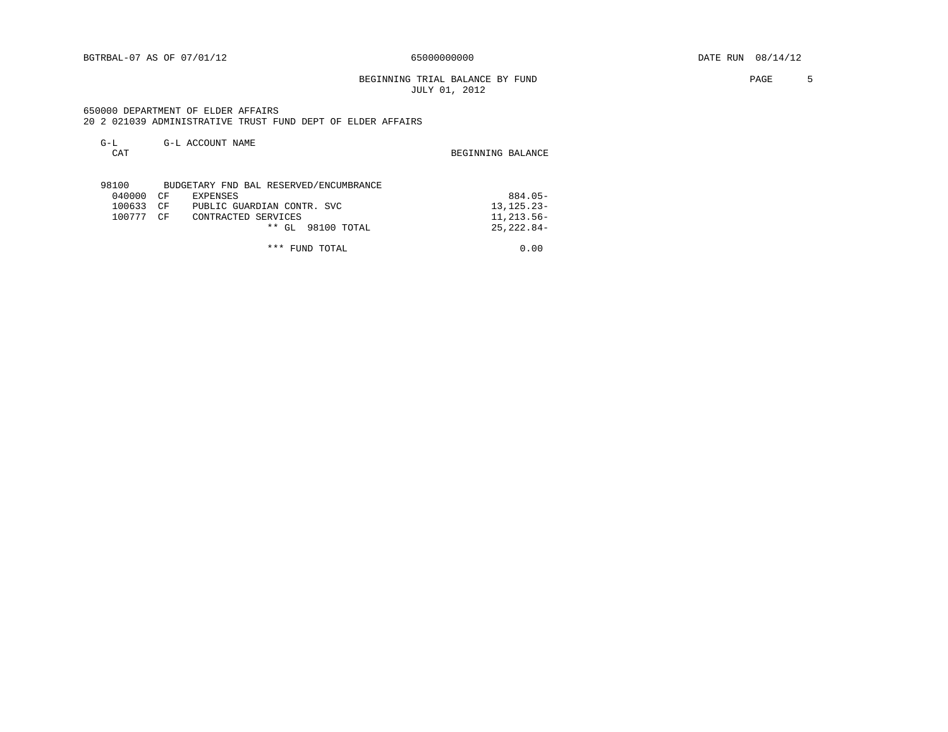#### BEGINNING TRIAL BALANCE BY FUND **FAGE** 5 JULY 01, 2012

 650000 DEPARTMENT OF ELDER AFFAIRS 20 2 021039 ADMINISTRATIVE TRUST FUND DEPT OF ELDER AFFAIRS

| $G-L$  |    | G-L ACCOUNT NAME                       |                   |
|--------|----|----------------------------------------|-------------------|
| CAT    |    |                                        | BEGINNING BALANCE |
|        |    |                                        |                   |
| 98100  |    | BUDGETARY FND BAL RESERVED/ENCUMBRANCE |                   |
| 040000 | CF | EXPENSES                               | $884.05 -$        |
| 100633 | CF | PUBLIC GUARDIAN CONTR. SVC             | $13, 125.23 -$    |
| 100777 | CΕ | CONTRACTED SERVICES                    | 11, 213.56-       |
|        |    | $**$ GL<br>98100 TOTAL                 | $25.222.84-$      |
|        |    |                                        |                   |

\*\*\* FUND TOTAL 0.00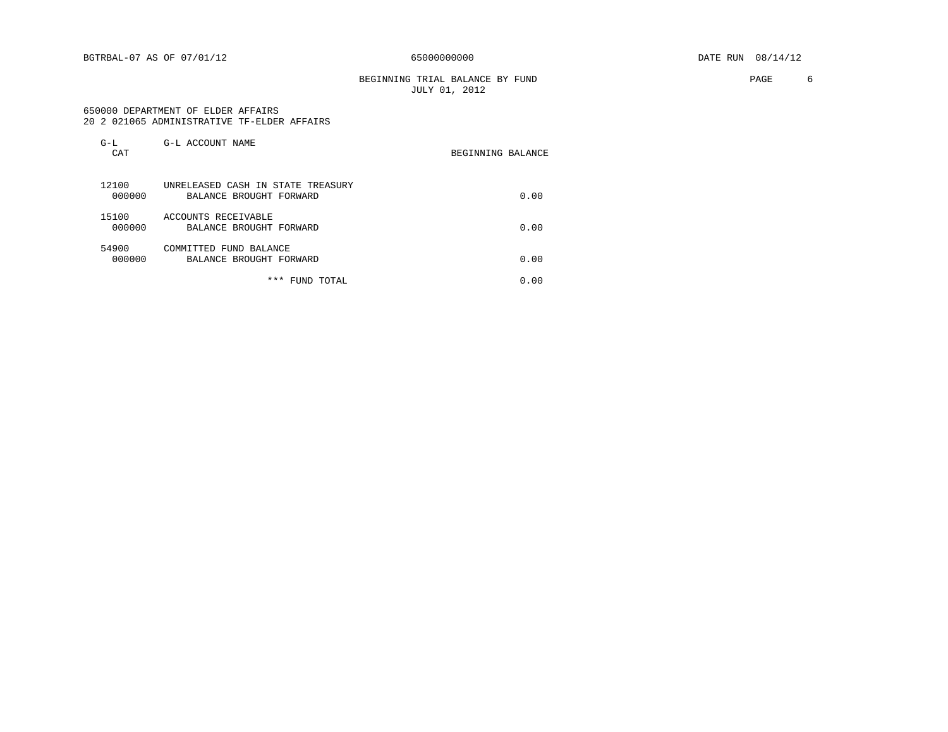BEGINNING TRIAL BALANCE BY FUND **EXAMPLE 1999** PAGE 6 JULY 01, 2012

#### 650000 DEPARTMENT OF ELDER AFFAIRS 20 2 021065 ADMINISTRATIVE TF-ELDER AFFAIRS

| $G-L$<br>CAT    | G-L ACCOUNT NAME                                             | BEGINNING BALANCE |      |
|-----------------|--------------------------------------------------------------|-------------------|------|
| 12100<br>000000 | UNRELEASED CASH IN STATE TREASURY<br>BALANCE BROUGHT FORWARD |                   | 0.00 |
| 15100<br>000000 | ACCOUNTS RECEIVABLE<br>BALANCE BROUGHT FORWARD               |                   | 0.00 |
| 54900<br>000000 | COMMITTED FUND BALANCE<br>BALANCE BROUGHT FORWARD            |                   | 0.00 |
|                 | * * *<br>FUND TOTAL                                          |                   | 0.00 |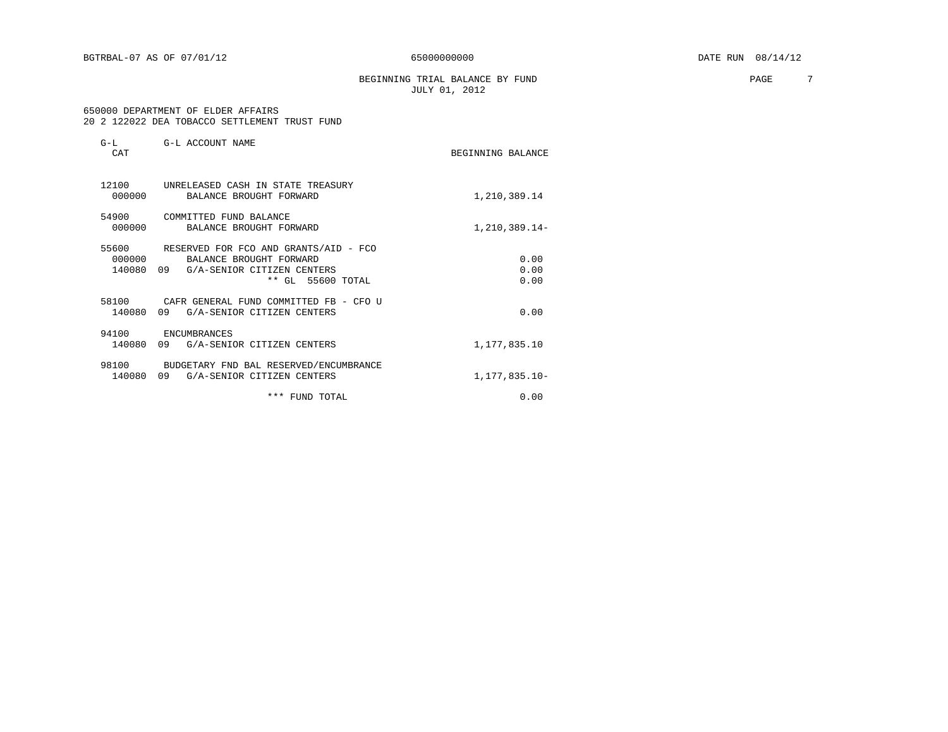BEGINNING TRIAL BALANCE BY FUND **PAGE** 7 JULY 01, 2012

#### 650000 DEPARTMENT OF ELDER AFFAIRS 20 2 122022 DEA TOBACCO SETTLEMENT TRUST FUND

| $G-L$<br>CAT              | G-L ACCOUNT NAME                                                                                                       | BEGINNING BALANCE    |
|---------------------------|------------------------------------------------------------------------------------------------------------------------|----------------------|
| 12100<br>000000           | UNRELEASED CASH IN STATE TREASURY<br>BALANCE BROUGHT FORWARD                                                           | 1,210,389.14         |
| 54900<br>000000           | COMMITTED FUND BALANCE<br>BALANCE BROUGHT FORWARD                                                                      | 1,210,389.14-        |
| 55600<br>000000<br>140080 | RESERVED FOR FCO AND GRANTS/AID - FCO<br>BALANCE BROUGHT FORWARD<br>09 G/A-SENIOR CITIZEN CENTERS<br>** GL 55600 TOTAL | 0.00<br>0.00<br>0.00 |
| 58100<br>140080           | CAFR GENERAL FUND COMMITTED FB - CFO U<br>09<br>G/A-SENIOR CITIZEN CENTERS                                             | 0.00                 |
| 94100<br>140080           | ENCUMBRANCES<br>09<br>G/A-SENIOR CITIZEN CENTERS                                                                       | 1,177,835.10         |
| 98100<br>140080           | BUDGETARY FND BAL RESERVED/ENCUMBRANCE<br>G/A-SENIOR CITIZEN CENTERS<br>09                                             | 1,177,835.10-        |
|                           | *** FUND TOTAL                                                                                                         | 0.00                 |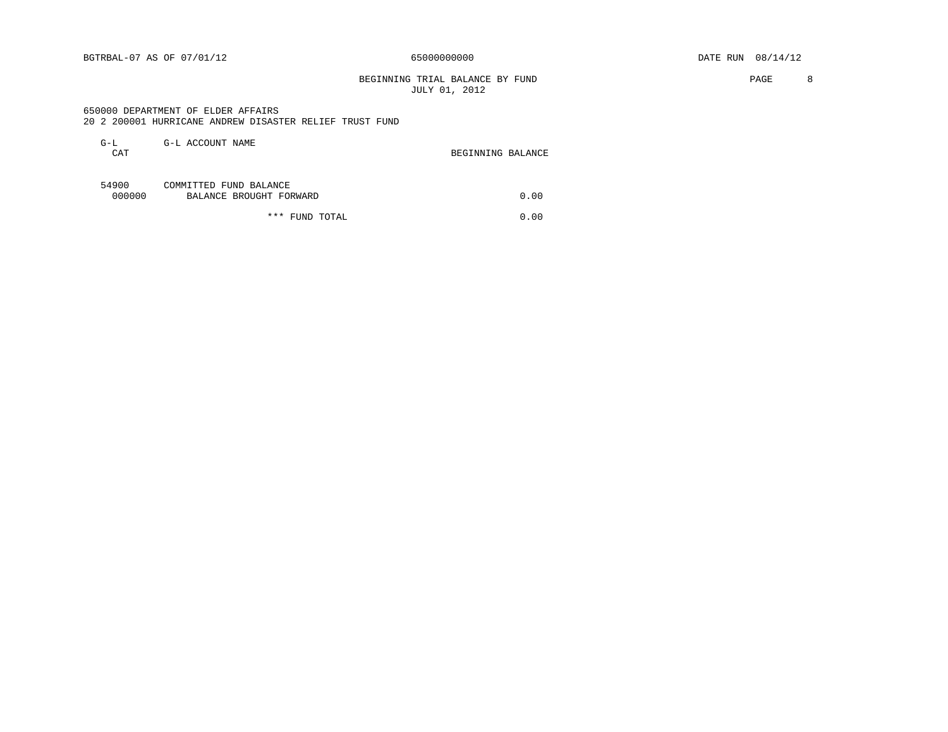BEGINNING TRIAL BALANCE BY FUND **PAGE 8** JULY 01, 2012

#### 650000 DEPARTMENT OF ELDER AFFAIRS 20 2 200001 HURRICANE ANDREW DISASTER RELIEF TRUST FUND

| G-L<br>CAT      | G-L ACCOUNT NAME                                  | BEGINNING BALANCE |
|-----------------|---------------------------------------------------|-------------------|
| 54900<br>000000 | COMMITTED FUND BALANCE<br>BALANCE BROUGHT FORWARD | 0.00              |
|                 | *** FUND TOTAL                                    | 0.00              |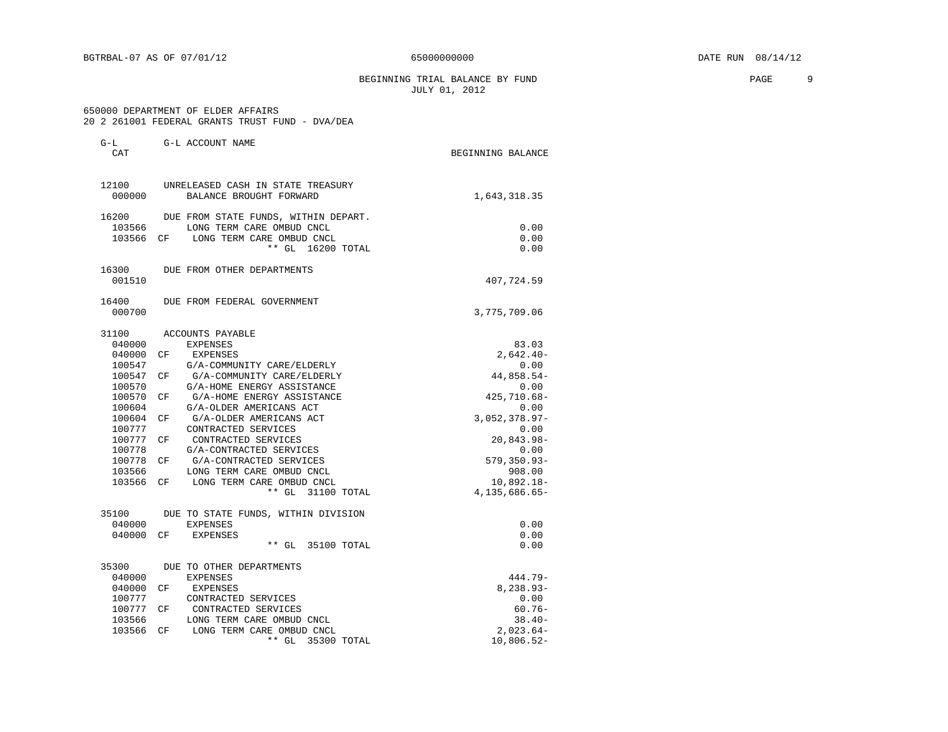BEGINNING TRIAL BALANCE BY FUND **PAGE** 9 JULY 01, 2012

#### 650000 DEPARTMENT OF ELDER AFFAIRS 20 2 261001 FEDERAL GRANTS TRUST FUND - DVA/DEA

| G-L<br>CAT       | G-L ACCOUNT NAME                                             | BEGINNING BALANCE   |
|------------------|--------------------------------------------------------------|---------------------|
| 12100<br>000000  | UNRELEASED CASH IN STATE TREASURY<br>BALANCE BROUGHT FORWARD | 1,643,318.35        |
| 16200            | DUE FROM STATE FUNDS, WITHIN DEPART.                         |                     |
| 103566           | LONG TERM CARE OMBUD CNCL                                    | 0.00                |
|                  | 103566 CF LONG TERM CARE OMBUD CNCL                          | 0.00                |
|                  | $**$ GL<br>16200 TOTAL                                       | 0.00                |
| 16300            | DUE FROM OTHER DEPARTMENTS                                   |                     |
| 001510           |                                                              | 407,724.59          |
| 16400            | DUE FROM FEDERAL GOVERNMENT                                  |                     |
| 000700           |                                                              | 3,775,709.06        |
| 31100            | ACCOUNTS PAYABLE                                             |                     |
| 040000           | EXPENSES                                                     | 83.03               |
| 040000           | EXPENSES<br>CF                                               | $2,642.40-$         |
| 100547           | G/A-COMMUNITY CARE/ELDERLY                                   | 0.00                |
| 100547           | G/A-COMMUNITY CARE/ELDERLY<br>CF                             | 44,858.54-          |
| 100570           | G/A-HOME ENERGY ASSISTANCE                                   | 0.00                |
| 100570<br>100604 | G/A-HOME ENERGY ASSISTANCE<br>CF<br>G/A-OLDER AMERICANS ACT  | 425,710.68-<br>0.00 |
| 100604           | G/A-OLDER AMERICANS ACT<br>CF                                | $3,052,378.97-$     |
| 100777           | CONTRACTED SERVICES                                          | 0.00                |
| 100777           | CONTRACTED SERVICES<br>CF.                                   | 20,843.98-          |
| 100778           | G/A-CONTRACTED SERVICES                                      | 0.00                |
| 100778           | G/A-CONTRACTED SERVICES<br>CF.                               | 579,350.93-         |
| 103566           | LONG TERM CARE OMBUD CNCL                                    | 908.00              |
| 103566           | LONG TERM CARE OMBUD CNCL<br>CF                              | $10,892.18-$        |
|                  | $**$ GL<br>31100 TOTAL                                       | 4, 135, 686. 65-    |
| 35100            | DUE TO STATE FUNDS, WITHIN DIVISION                          |                     |
| 040000           | <b>EXPENSES</b>                                              | 0.00                |
| 040000           | CF<br><b>EXPENSES</b>                                        | 0.00                |
|                  | $**$ GL<br>35100 TOTAL                                       | 0.00                |
| 35300            | DUE TO OTHER DEPARTMENTS                                     |                     |
| 040000           | <b>EXPENSES</b>                                              | 444.79-             |
| 040000           | CF<br>EXPENSES                                               | $8,238.93-$         |
| 100777           | CONTRACTED SERVICES                                          | 0.00                |
| 100777           | CONTRACTED SERVICES<br>CF.                                   | $60.76 -$           |
| 103566           | LONG TERM CARE OMBUD CNCL                                    | $38.40-$            |
| 103566           | LONG TERM CARE OMBUD CNCL<br>CF                              | $2,023.64-$         |
|                  | $**$ GL<br>35300 TOTAL                                       | 10,806.52-          |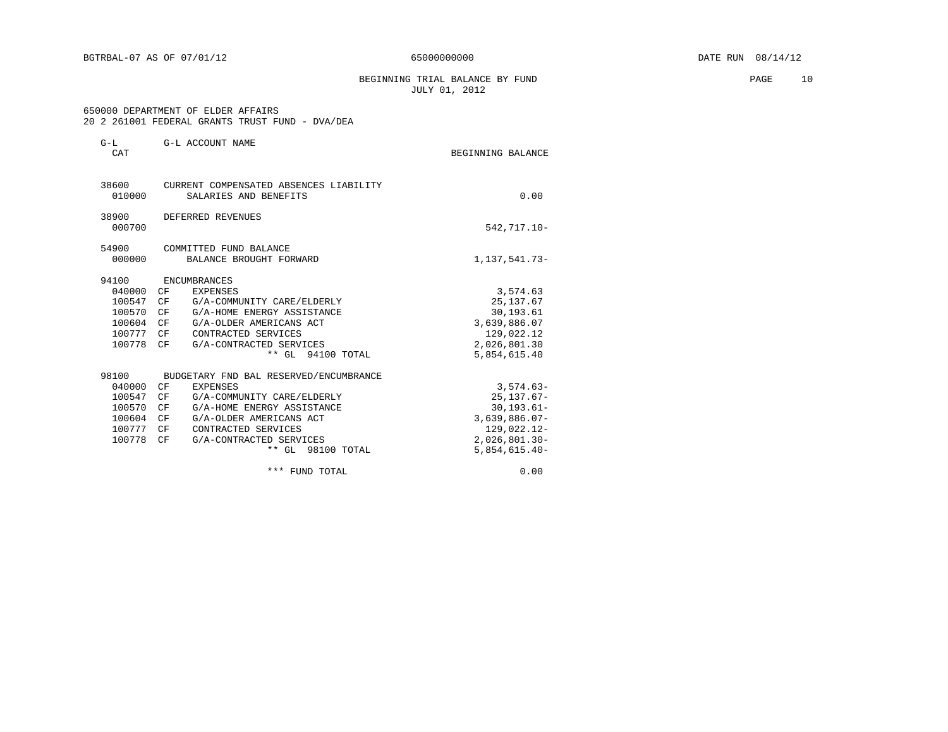BEGINNING TRIAL BALANCE BY FUND **PAGE** 10 JULY 01, 2012

 650000 DEPARTMENT OF ELDER AFFAIRS 20 2 261001 FEDERAL GRANTS TRUST FUND - DVA/DEA

| G-L ACCOUNT NAME                                                | BEGINNING BALANCE                                                       |
|-----------------------------------------------------------------|-------------------------------------------------------------------------|
| CURRENT COMPENSATED ABSENCES LIABILITY<br>SALARIES AND BENEFITS | 0.00                                                                    |
| DEFERRED REVENUES                                               | 542,717.10-                                                             |
| COMMITTED FUND BALANCE                                          |                                                                         |
|                                                                 | 1,137,541.73-                                                           |
| <b>ENCUMBRANCES</b>                                             |                                                                         |
| CF<br>EXPENSES                                                  | 3,574.63                                                                |
| G/A-COMMUNITY CARE/ELDERLY                                      | 25, 137.67                                                              |
| G/A-HOME ENERGY ASSISTANCE<br>CF                                | 30, 193.61                                                              |
| CF<br>G/A-OLDER AMERICANS ACT                                   | 3,639,886.07                                                            |
| CF<br>CONTRACTED SERVICES                                       | 129,022.12                                                              |
| CF<br>G/A-CONTRACTED SERVICES                                   | 2,026,801.30                                                            |
| ** GL 94100 TOTAL                                               | 5,854,615.40                                                            |
|                                                                 |                                                                         |
| CF<br><b>EXPENSES</b>                                           | $3,574.63-$                                                             |
| CF<br>G/A-COMMUNITY CARE/ELDERLY                                | $25, 137.67 -$                                                          |
| G/A-HOME ENERGY ASSISTANCE<br>CF                                | $30, 193.61 -$                                                          |
| CF<br>G/A-OLDER AMERICANS ACT                                   | $3,639,886.07-$                                                         |
| CF<br>CONTRACTED SERVICES                                       | 129,022.12-                                                             |
| G/A-CONTRACTED SERVICES<br>CF                                   | $2,026,801.30 -$                                                        |
| ** GL 98100 TOTAL                                               | $5,854,615.40-$                                                         |
| *** FUND TOTAL                                                  | 0.00                                                                    |
|                                                                 | BALANCE BROUGHT FORWARD<br>CF<br>BUDGETARY FND BAL RESERVED/ENCUMBRANCE |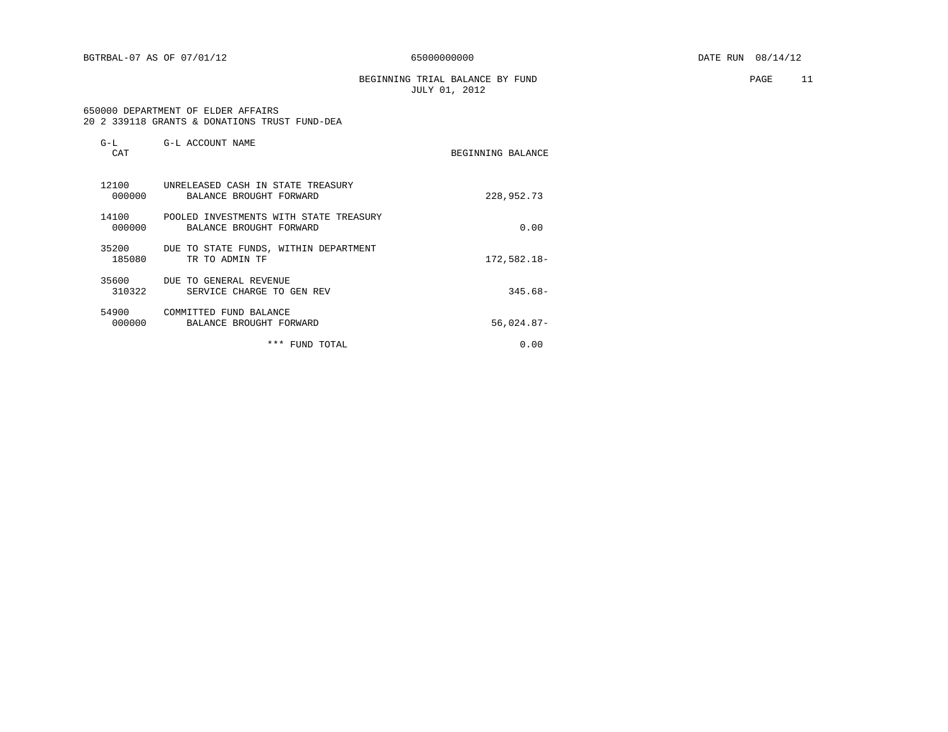BEGINNING TRIAL BALANCE BY FUND PAGE 11 JULY 01, 2012

#### 650000 DEPARTMENT OF ELDER AFFAIRS 20 2 339118 GRANTS & DONATIONS TRUST FUND-DEA

| $G-L$<br>CAT    | G-L ACCOUNT NAME                                                  | BEGINNING BALANCE |
|-----------------|-------------------------------------------------------------------|-------------------|
| 12100<br>000000 | UNRELEASED CASH IN STATE TREASURY<br>BALANCE BROUGHT FORWARD      | 228,952.73        |
| 14100<br>000000 | POOLED INVESTMENTS WITH STATE TREASURY<br>BALANCE BROUGHT FORWARD | 0.00              |
| 35200<br>185080 | DUE TO STATE FUNDS, WITHIN DEPARTMENT<br>TR TO ADMIN TF           | 172,582.18-       |
| 35600<br>310322 | DUE TO GENERAL REVENUE<br>SERVICE CHARGE TO GEN REV               | $345.68 -$        |
| 54900<br>000000 | COMMITTED FUND BALANCE<br>BALANCE BROUGHT FORWARD                 | $56,024.87-$      |
|                 | ***<br>FUND TOTAL                                                 | 0.00              |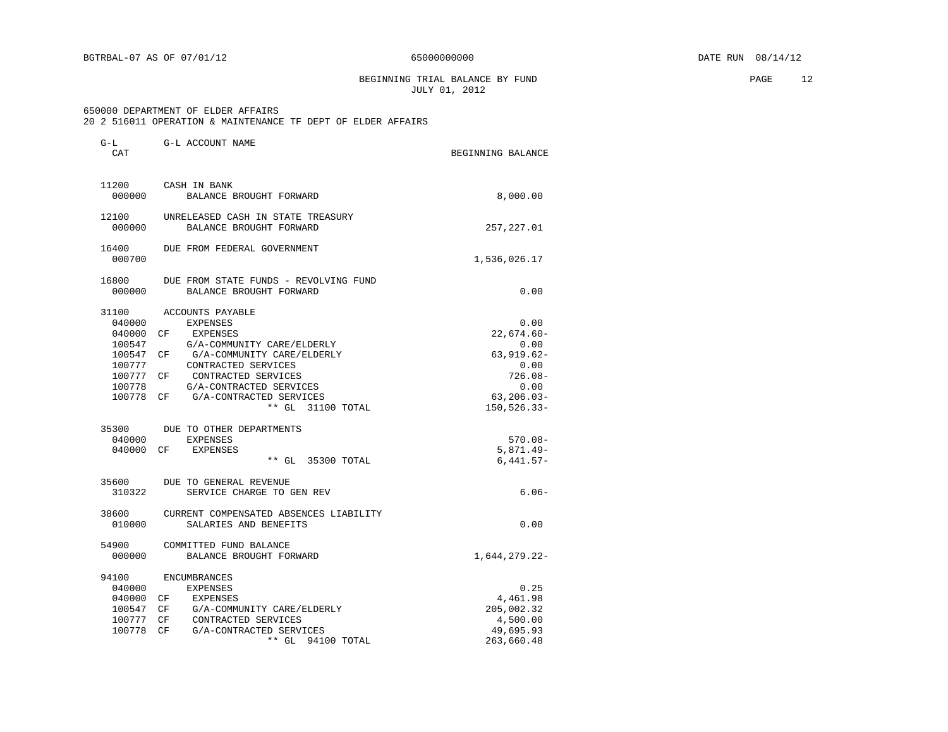BEGINNING TRIAL BALANCE BY FUND **EXAMPLE 2** 2 JULY 01, 2012

### 650000 DEPARTMENT OF ELDER AFFAIRS

G-L G-L ACCOUNT NAME

20 2 516011 OPERATION & MAINTENANCE TF DEPT OF ELDER AFFAIRS

| CAT    |                                        | BEGINNING BALANCE |
|--------|----------------------------------------|-------------------|
| 11200  | CASH IN BANK                           |                   |
| 000000 | BALANCE BROUGHT FORWARD                | 8,000.00          |
| 12100  | UNRELEASED CASH IN STATE TREASURY      |                   |
| 000000 | BALANCE BROUGHT FORWARD                | 257, 227.01       |
| 16400  | DUE FROM FEDERAL GOVERNMENT            |                   |
| 000700 |                                        | 1,536,026.17      |
| 16800  | DUE FROM STATE FUNDS - REVOLVING FUND  |                   |
| 000000 | BALANCE BROUGHT FORWARD                | 0.00              |
| 31100  | ACCOUNTS PAYABLE                       |                   |
| 040000 | <b>EXPENSES</b>                        | 0.00              |
| 040000 | CF<br>EXPENSES                         | 22,674.60-        |
| 100547 | G/A-COMMUNITY CARE/ELDERLY             | 0.00              |
| 100547 | CF<br>G/A-COMMUNITY CARE/ELDERLY       | 63,919.62-        |
| 100777 | CONTRACTED SERVICES                    | 0.00              |
| 100777 | CONTRACTED SERVICES<br>CF              | $726.08 -$        |
| 100778 | G/A-CONTRACTED SERVICES                | 0.00              |
| 100778 | CF G/A-CONTRACTED SERVICES             | $63, 206.03 -$    |
|        | ** GL 31100 TOTAL                      | 150,526.33-       |
|        | 35300 DUE TO OTHER DEPARTMENTS         |                   |
| 040000 | EXPENSES                               | $570.08 -$        |
| 040000 | CF EXPENSES                            | $5,871.49-$       |
|        | ** GL 35300 TOTAL                      | $6.441.57-$       |
|        | 35600 DUE TO GENERAL REVENUE           |                   |
| 310322 | SERVICE CHARGE TO GEN REV              | $6.06 -$          |
| 38600  | CURRENT COMPENSATED ABSENCES LIABILITY |                   |
| 010000 | SALARIES AND BENEFITS                  | 0.00              |
| 54900  | COMMITTED FUND BALANCE                 |                   |
| 000000 | BALANCE BROUGHT FORWARD                | 1,644,279.22-     |
| 94100  | <b>ENCUMBRANCES</b>                    |                   |
| 040000 | EXPENSES                               | 0.25              |
| 040000 | CF EXPENSES                            | 4,461.98          |
| 100547 | CF G/A-COMMUNITY CARE/ELDERLY          | 205,002.32        |
| 100777 | CF CONTRACTED SERVICES                 | 4,500.00          |
| 100778 | G/A-CONTRACTED SERVICES<br>CF          | 49,695.93         |
|        | $***$ GL<br>94100 TOTAL                | 263,660.48        |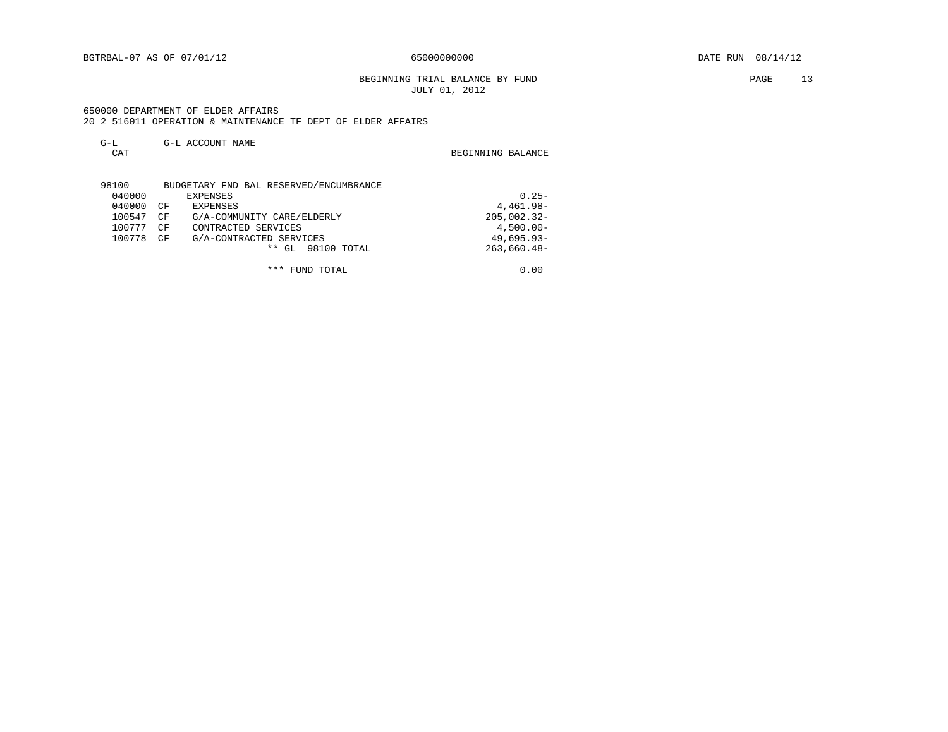BEGINNING TRIAL BALANCE BY FUND **PAGE** 13 JULY 01, 2012

 650000 DEPARTMENT OF ELDER AFFAIRS 20 2 516011 OPERATION & MAINTENANCE TF DEPT OF ELDER AFFAIRS

| $G-L$<br>CAT | G-L ACCOUNT NAME                       | BEGINNING BALANCE |
|--------------|----------------------------------------|-------------------|
| 98100        | BUDGETARY FND BAL RESERVED/ENCUMBRANCE |                   |
| 040000       | EXPENSES                               | $0.25 -$          |
| 040000       | CF<br><b>EXPENSES</b>                  | 4,461.98-         |
| 100547       | G/A-COMMUNITY CARE/ELDERLY<br>CF       | $205,002.32-$     |
| 100777       | CONTRACTED SERVICES<br>CF              | $4,500.00 -$      |
| 100778       | G/A-CONTRACTED SERVICES<br>CF          | $49,695.93-$      |
|              | * *<br>98100 TOTAL<br>GL               | $263,660.48-$     |

\*\*\* FUND TOTAL 0.00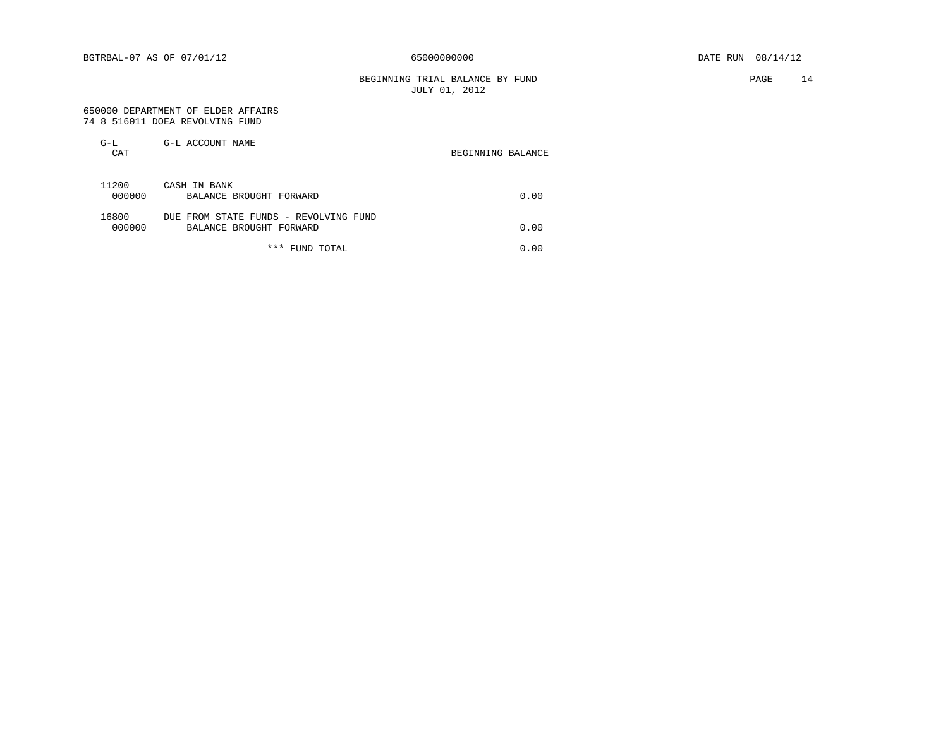BEGINNING TRIAL BALANCE BY FUND **PAGE** 14 JULY 01, 2012

#### 650000 DEPARTMENT OF ELDER AFFAIRS 74 8 516011 DOEA REVOLVING FUND

| $G-L$<br>CAT    | G-L ACCOUNT NAME                                                 | BEGINNING BALANCE |
|-----------------|------------------------------------------------------------------|-------------------|
| 11200<br>000000 | CASH IN BANK<br>BALANCE BROUGHT FORWARD                          | 0.00              |
| 16800<br>000000 | DUE FROM STATE FUNDS - REVOLVING FUND<br>BALANCE BROUGHT FORWARD | 0.00              |
|                 | *** FUND TOTAL                                                   | 0.00              |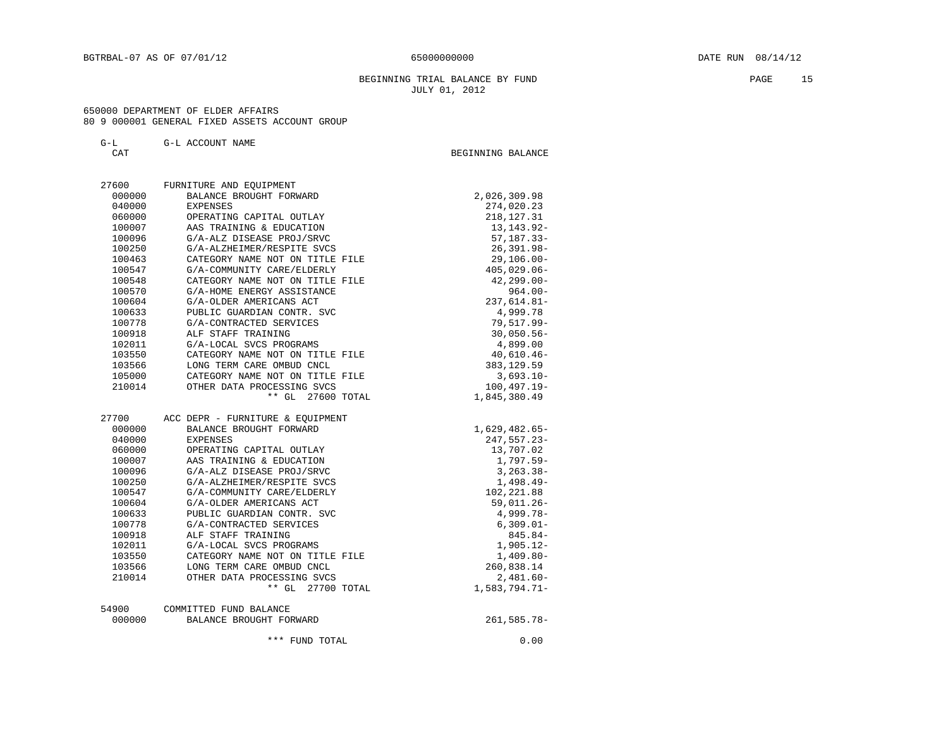#### BEGINNING TRIAL BALANCE BY FUND **PAGE 15** JULY 01, 2012

#### 650000 DEPARTMENT OF ELDER AFFAIRS 80 9 000001 GENERAL FIXED ASSETS ACCOUNT GROUP

G-L G-L ACCOUNT NAME

| ידי גי | BEGINNING BALANCE |
|--------|-------------------|
| ◡▵     |                   |
|        |                   |
|        |                   |

| 27600  | FURNITURE AND EQUIPMENT          |                 |
|--------|----------------------------------|-----------------|
| 000000 | BALANCE BROUGHT FORWARD          | 2,026,309.98    |
| 040000 | EXPENSES                         | 274,020.23      |
| 060000 | OPERATING CAPITAL OUTLAY         | 218, 127. 31    |
| 100007 | AAS TRAINING & EDUCATION         | 13, 143. 92-    |
| 100096 | G/A-ALZ DISEASE PROJ/SRVC        | $57, 187.33 -$  |
| 100250 | G/A-ALZHEIMER/RESPITE SVCS       | $26, 391.98 -$  |
| 100463 | CATEGORY NAME NOT ON TITLE FILE  | $29, 106.00 -$  |
| 100547 | G/A-COMMUNITY CARE/ELDERLY       | $405,029.06 -$  |
| 100548 | CATEGORY NAME NOT ON TITLE FILE  | $42, 299.00 -$  |
| 100570 | G/A-HOME ENERGY ASSISTANCE       | $964.00 -$      |
| 100604 | G/A-OLDER AMERICANS ACT          | $237,614.81-$   |
| 100633 | PUBLIC GUARDIAN CONTR. SVC       | 4,999.78        |
| 100778 | G/A-CONTRACTED SERVICES          | 79,517.99-      |
| 100918 | ALF STAFF TRAINING               | $30,050.56 -$   |
| 102011 | G/A-LOCAL SVCS PROGRAMS          | 4,899.00        |
| 103550 | CATEGORY NAME NOT ON TITLE FILE  | $40,610.46 -$   |
| 103566 | LONG TERM CARE OMBUD CNCL        | 383, 129.59     |
| 105000 | CATEGORY NAME NOT ON TITLE FILE  | $3,693.10-$     |
| 210014 | OTHER DATA PROCESSING SVCS       | $100, 497.19 -$ |
|        | ** GL 27600 TOTAL                | 1,845,380.49    |
|        |                                  |                 |
| 27700  | ACC DEPR - FURNITURE & EQUIPMENT |                 |
| 000000 | BALANCE BROUGHT FORWARD          | $1,629,482.65-$ |
| 040000 | EXPENSES                         | $247,557.23-$   |
| 060000 | OPERATING CAPITAL OUTLAY         | 13,707.02       |
| 100007 | AAS TRAINING & EDUCATION         | $1,797.59-$     |
| 100096 | G/A-ALZ DISEASE PROJ/SRVC        | $3, 263.38 -$   |
| 100250 | G/A-ALZHEIMER/RESPITE SVCS       | $1,498.49-$     |
| 100547 | G/A-COMMUNITY CARE/ELDERLY       | 102,221.88      |
| 100604 | G/A-OLDER AMERICANS ACT          | $59,011.26 -$   |
| 100633 | PUBLIC GUARDIAN CONTR. SVC       | $4,999.78-$     |
| 100778 | G/A-CONTRACTED SERVICES          | $6,309.01-$     |
| 100918 | ALF STAFF TRAINING               | 845.84-         |
| 102011 | G/A-LOCAL SVCS PROGRAMS          | $1,905.12-$     |
| 103550 | CATEGORY NAME NOT ON TITLE FILE  | $1,409.80-$     |
| 103566 | LONG TERM CARE OMBUD CNCL        | 260,838.14      |
| 210014 | OTHER DATA PROCESSING SVCS       | $2,481.60-$     |
|        | ** GL<br>27700 TOTAL             | $1,583,794.71-$ |
| 54900  | COMMITTED FUND BALANCE           |                 |
| 000000 | BALANCE BROUGHT FORWARD          | $261, 585.78 -$ |
|        |                                  |                 |
|        | *** FUND TOTAL                   | 0.00            |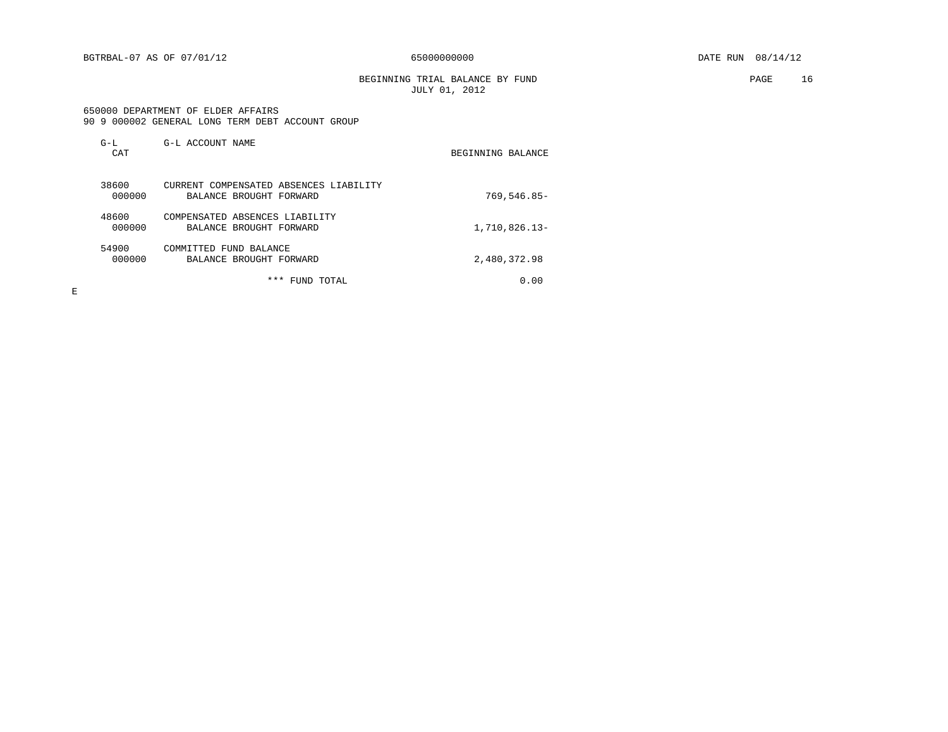BGTRBAL-07 AS OF 07/01/12 65000000000 DATE RUN 08/14/12

BEGINNING TRIAL BALANCE BY FUND **PAGE** 16 JULY 01, 2012

#### 650000 DEPARTMENT OF ELDER AFFAIRS 90 9 000002 GENERAL LONG TERM DEBT ACCOUNT GROUP

| $G-L$<br>CAT    | G-L ACCOUNT NAME                                                  | BEGINNING BALANCE |
|-----------------|-------------------------------------------------------------------|-------------------|
| 38600<br>000000 | CURRENT COMPENSATED ABSENCES LIABILITY<br>BALANCE BROUGHT FORWARD | 769,546.85-       |
| 48600<br>000000 | COMPENSATED ABSENCES LIABILITY<br>BALANCE BROUGHT FORWARD         | 1,710,826.13-     |
| 54900<br>000000 | COMMITTED FUND BALANCE<br>BALANCE BROUGHT FORWARD                 | 2,480,372.98      |
|                 | ***<br>TOTAL<br>FUND                                              | 0.00              |

 $\mathbf E$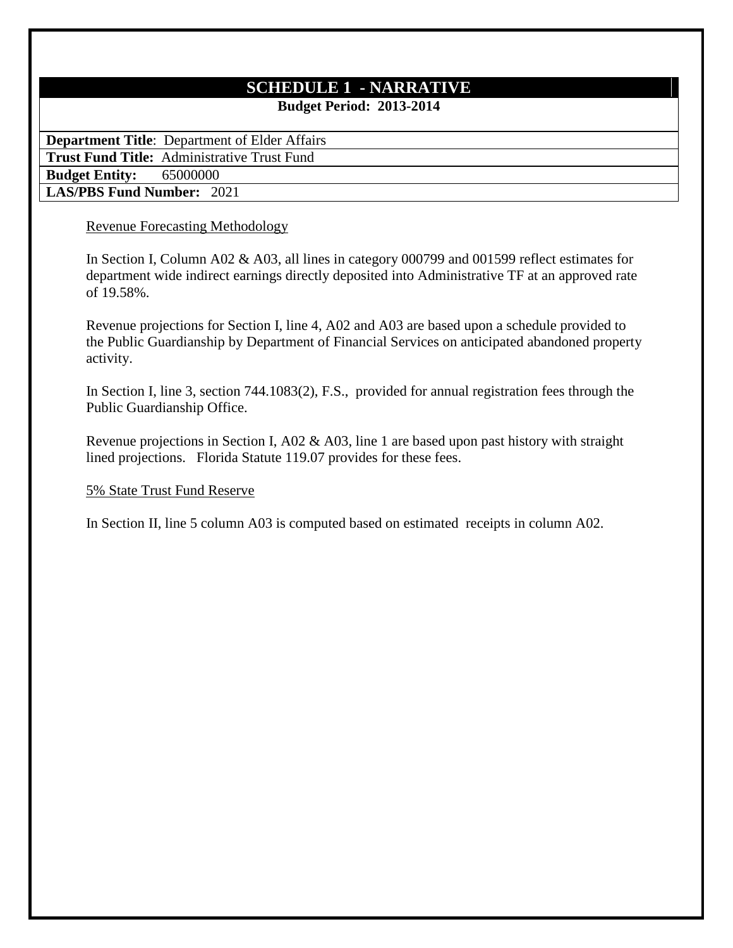# **SCHEDULE 1 - NARRATIVE**

**Budget Period: 2013-2014**

**Department Title**: Department of Elder Affairs

**Trust Fund Title:** Administrative Trust Fund

**Budget Entity:** 65000000

**LAS/PBS Fund Number:** 2021

# Revenue Forecasting Methodology

In Section I, Column A02 & A03, all lines in category 000799 and 001599 reflect estimates for department wide indirect earnings directly deposited into Administrative TF at an approved rate of 19.58%.

Revenue projections for Section I, line 4, A02 and A03 are based upon a schedule provided to the Public Guardianship by Department of Financial Services on anticipated abandoned property activity.

In Section I, line 3, section 744.1083(2), F.S., provided for annual registration fees through the Public Guardianship Office.

Revenue projections in Section I, A02 & A03, line 1 are based upon past history with straight lined projections. Florida Statute 119.07 provides for these fees.

# 5% State Trust Fund Reserve

In Section II, line 5 column A03 is computed based on estimated receipts in column A02.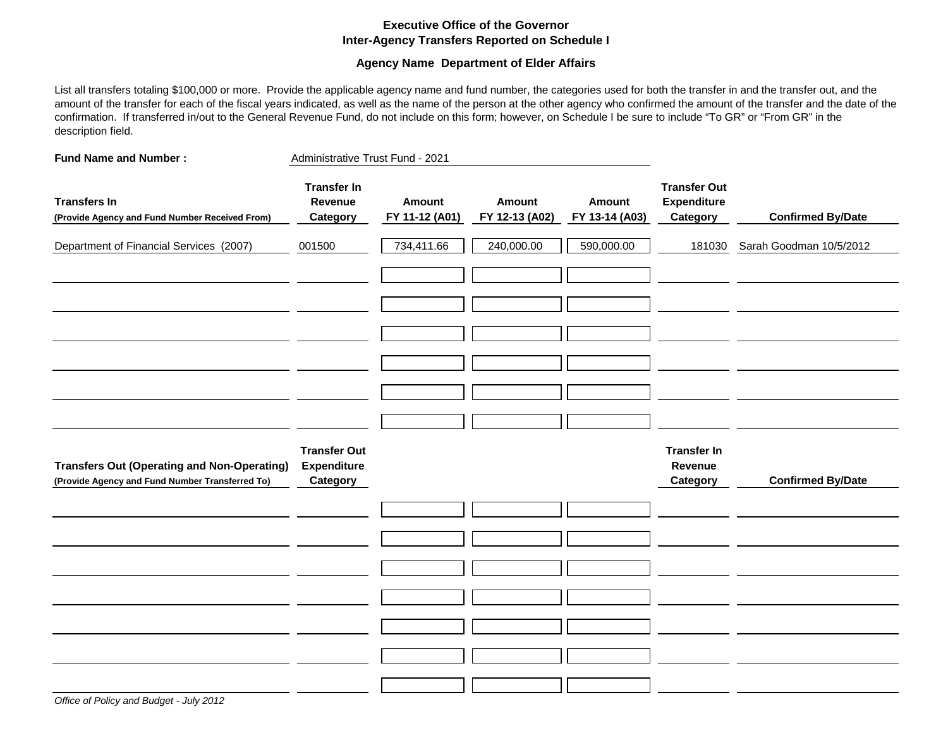### **Executive Office of the Governor Inter-Agency Transfers Reported on Schedule I**

### **Agency Name Department of Elder Affairs**

List all transfers totaling \$100,000 or more. Provide the applicable agency name and fund number, the categories used for both the transfer in and the transfer out, and the amount of the transfer for each of the fiscal years indicated, as well as the name of the person at the other agency who confirmed the amount of the transfer and the date of the confirmation. If transferred in/out to the General Revenue Fund, do not include on this form; however, on Schedule I be sure to include "To GR" or "From GR" in the description field.

| <b>Fund Name and Number:</b>                                                                          | Administrative Trust Fund - 2021                      |                                 |                                 |                                 |                                                       |                          |
|-------------------------------------------------------------------------------------------------------|-------------------------------------------------------|---------------------------------|---------------------------------|---------------------------------|-------------------------------------------------------|--------------------------|
| <b>Transfers In</b><br>(Provide Agency and Fund Number Received From)                                 | <b>Transfer In</b><br>Revenue<br>Category             | <b>Amount</b><br>FY 11-12 (A01) | <b>Amount</b><br>FY 12-13 (A02) | <b>Amount</b><br>FY 13-14 (A03) | <b>Transfer Out</b><br><b>Expenditure</b><br>Category | <b>Confirmed By/Date</b> |
| Department of Financial Services (2007)                                                               | 001500                                                | 734,411.66                      | 240,000.00                      | 590,000.00                      | 181030                                                | Sarah Goodman 10/5/2012  |
|                                                                                                       |                                                       |                                 |                                 |                                 |                                                       |                          |
|                                                                                                       |                                                       |                                 |                                 |                                 |                                                       |                          |
|                                                                                                       |                                                       |                                 |                                 |                                 |                                                       |                          |
| <b>Transfers Out (Operating and Non-Operating)</b><br>(Provide Agency and Fund Number Transferred To) | <b>Transfer Out</b><br><b>Expenditure</b><br>Category |                                 |                                 |                                 | <b>Transfer In</b><br>Revenue<br>Category             | <b>Confirmed By/Date</b> |
|                                                                                                       |                                                       |                                 |                                 |                                 |                                                       |                          |
|                                                                                                       |                                                       |                                 |                                 |                                 |                                                       |                          |
|                                                                                                       |                                                       |                                 |                                 |                                 |                                                       |                          |
|                                                                                                       |                                                       |                                 |                                 |                                 |                                                       |                          |
|                                                                                                       |                                                       |                                 |                                 |                                 |                                                       |                          |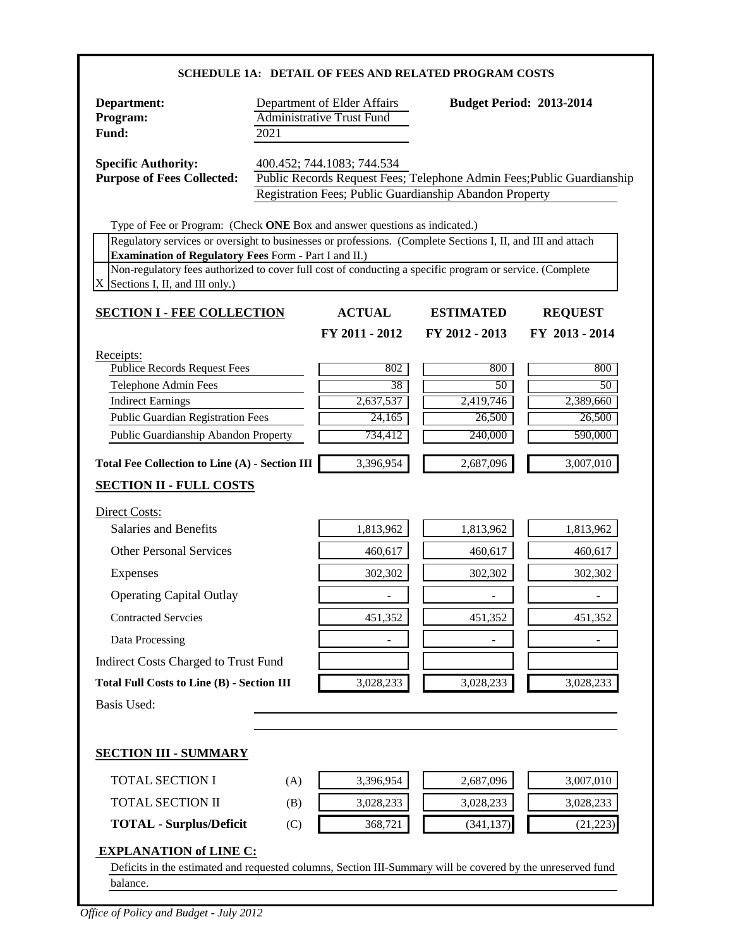| Department:<br>Program:<br>Fund:                                                                                                                                                                                                                                                                                                                                                                                                                  | 2021 | Department of Elder Affairs<br><b>Administrative Trust Fund</b> |                                                                                                                                   | <b>Budget Period: 2013-2014</b>             |
|---------------------------------------------------------------------------------------------------------------------------------------------------------------------------------------------------------------------------------------------------------------------------------------------------------------------------------------------------------------------------------------------------------------------------------------------------|------|-----------------------------------------------------------------|-----------------------------------------------------------------------------------------------------------------------------------|---------------------------------------------|
| <b>Specific Authority:</b><br><b>Purpose of Fees Collected:</b>                                                                                                                                                                                                                                                                                                                                                                                   |      | 400.452; 744.1083; 744.534                                      | Public Records Request Fees; Telephone Admin Fees; Public Guardianship<br>Registration Fees; Public Guardianship Abandon Property |                                             |
| Type of Fee or Program: (Check ONE Box and answer questions as indicated.)<br>Regulatory services or oversight to businesses or professions. (Complete Sections I, II, and III and attach<br><b>Examination of Regulatory Fees Form - Part I and II.)</b><br>Non-regulatory fees authorized to cover full cost of conducting a specific program or service. (Complete<br>X<br>Sections I, II, and III only.)<br><b>SECTION I - FEE COLLECTION</b> |      | <b>ACTUAL</b><br>FY 2011 - 2012                                 | <b>ESTIMATED</b><br>FY 2012 - 2013                                                                                                | <b>REQUEST</b><br>FY 2013 - 2014            |
| Receipts:<br><b>Publice Records Request Fees</b><br>Telephone Admin Fees<br><b>Indirect Earnings</b><br><b>Public Guardian Registration Fees</b><br>Public Guardianship Abandon Property                                                                                                                                                                                                                                                          |      | 802<br>38<br>2,637,537<br>24,165<br>734,412                     | 800<br>50<br>2,419,746<br>26,500<br>240,000                                                                                       | 800<br>50<br>2,389,660<br>26,500<br>590,000 |
| <b>Total Fee Collection to Line (A) - Section III</b><br><b>SECTION II - FULL COSTS</b>                                                                                                                                                                                                                                                                                                                                                           |      | 3,396,954                                                       | 2,687,096                                                                                                                         | 3,007,010                                   |
| Direct Costs:                                                                                                                                                                                                                                                                                                                                                                                                                                     |      |                                                                 |                                                                                                                                   |                                             |
| <b>Salaries and Benefits</b>                                                                                                                                                                                                                                                                                                                                                                                                                      |      | 1,813,962                                                       | 1,813,962                                                                                                                         | 1,813,962                                   |
| <b>Other Personal Services</b>                                                                                                                                                                                                                                                                                                                                                                                                                    |      | 460,617                                                         | 460,617                                                                                                                           | 460,617                                     |
| <b>Expenses</b>                                                                                                                                                                                                                                                                                                                                                                                                                                   |      | 302,302                                                         | 302,302                                                                                                                           | 302,302                                     |
| <b>Operating Capital Outlay</b>                                                                                                                                                                                                                                                                                                                                                                                                                   |      |                                                                 |                                                                                                                                   |                                             |
|                                                                                                                                                                                                                                                                                                                                                                                                                                                   |      |                                                                 |                                                                                                                                   |                                             |
| <b>Contracted Servcies</b>                                                                                                                                                                                                                                                                                                                                                                                                                        |      | 451,352                                                         | 451,352                                                                                                                           | 451,352                                     |
| Data Processing                                                                                                                                                                                                                                                                                                                                                                                                                                   |      |                                                                 |                                                                                                                                   |                                             |
| Indirect Costs Charged to Trust Fund                                                                                                                                                                                                                                                                                                                                                                                                              |      |                                                                 |                                                                                                                                   |                                             |
| <b>Total Full Costs to Line (B) - Section III</b>                                                                                                                                                                                                                                                                                                                                                                                                 |      | 3,028,233                                                       | 3,028,233                                                                                                                         | 3,028,233                                   |
| <b>Basis Used:</b>                                                                                                                                                                                                                                                                                                                                                                                                                                |      |                                                                 |                                                                                                                                   |                                             |
| <b>SECTION III - SUMMARY</b>                                                                                                                                                                                                                                                                                                                                                                                                                      |      |                                                                 |                                                                                                                                   |                                             |
| <b>TOTAL SECTION I</b>                                                                                                                                                                                                                                                                                                                                                                                                                            | (A)  | 3,396,954                                                       | 2,687,096                                                                                                                         | 3,007,010                                   |
| TOTAL SECTION II                                                                                                                                                                                                                                                                                                                                                                                                                                  | (B)  | 3,028,233                                                       | 3,028,233                                                                                                                         | 3,028,233                                   |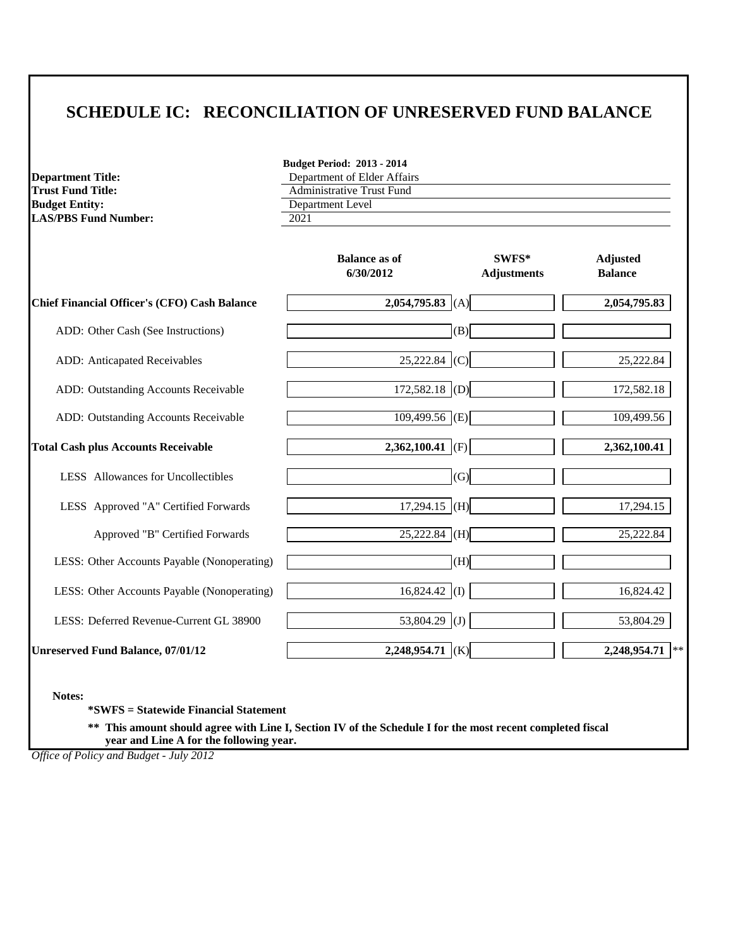# **SCHEDULE IC: RECONCILIATION OF UNRESERVED FUND BALANCE**

**LAS/PBS Fund Number:** 

**Budget Period: 2013 - 2014 Department Title:**<br> **Compartment Title:**<br> **Compartment of Elder Affairs**<br> **Comparent Of Elder Affairs**<br> **Comparent Of Elder Affairs**<br> **Comparent Of Elder Affairs Trust Fund Title:**<br> **Administrative Trust Fund**<br> **Administrative Trust Fund**<br> **Administrative Trust Fund Department Level**<br>2021

|                                                     | <b>Balance as of</b><br>6/30/2012 | SWFS*<br><b>Adjustments</b> | <b>Adjusted</b><br><b>Balance</b> |
|-----------------------------------------------------|-----------------------------------|-----------------------------|-----------------------------------|
| <b>Chief Financial Officer's (CFO) Cash Balance</b> | 2,054,795.83 (A)                  |                             | 2,054,795.83                      |
| ADD: Other Cash (See Instructions)                  | (B)                               |                             |                                   |
| ADD: Anticapated Receivables                        | $25,222.84$ (C)                   |                             | 25,222.84                         |
| ADD: Outstanding Accounts Receivable                | $172,582.18$ (D)                  |                             | 172,582.18                        |
| ADD: Outstanding Accounts Receivable                | $109,499.56$ (E)                  |                             | 109,499.56                        |
| <b>Total Cash plus Accounts Receivable</b>          | 2,362,100.41 (F)                  |                             | 2,362,100.41                      |
| LESS Allowances for Uncollectibles                  | (G)                               |                             |                                   |
| LESS Approved "A" Certified Forwards                | $17,294.15$ (H)                   |                             | 17,294.15                         |
| Approved "B" Certified Forwards                     | $25,222.84$ (H)                   |                             | 25,222.84                         |
| LESS: Other Accounts Payable (Nonoperating)         | (H)                               |                             |                                   |
| LESS: Other Accounts Payable (Nonoperating)         | $16,824.42$ (I)                   |                             | 16,824.42                         |
| LESS: Deferred Revenue-Current GL 38900             | 53,804.29 (J)                     |                             | 53,804.29                         |
| <b>Unreserved Fund Balance, 07/01/12</b>            | $2,248,954.71$ (K)                |                             | 2,248,954.71                      |

**Notes:**

**\*SWFS = Statewide Financial Statement** 

**\*\* This amount should agree with Line I, Section IV of the Schedule I for the most recent completed fiscal year and Line A for the following year.**

*Office of Policy and Budget - July 2012*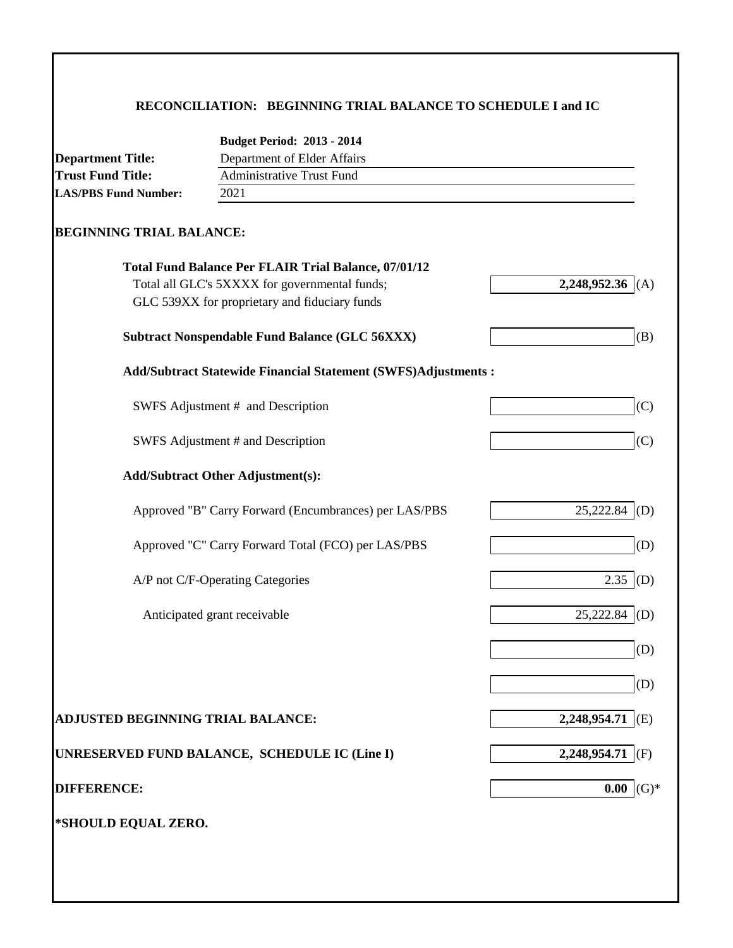# **RECONCILIATION: BEGINNING TRIAL BALANCE TO SCHEDULE I and IC**

|                                          | <b>Budget Period: 2013 - 2014</b>                                    |                     |
|------------------------------------------|----------------------------------------------------------------------|---------------------|
| <b>Department Title:</b>                 | Department of Elder Affairs                                          |                     |
| <b>Trust Fund Title:</b>                 | <b>Administrative Trust Fund</b>                                     |                     |
| <b>LAS/PBS Fund Number:</b>              | 2021                                                                 |                     |
| <b>BEGINNING TRIAL BALANCE:</b>          |                                                                      |                     |
|                                          | <b>Total Fund Balance Per FLAIR Trial Balance, 07/01/12</b>          |                     |
|                                          | Total all GLC's 5XXXX for governmental funds;                        | 2,248,952.36<br>(A) |
|                                          | GLC 539XX for proprietary and fiduciary funds                        |                     |
|                                          | <b>Subtract Nonspendable Fund Balance (GLC 56XXX)</b>                | (B)                 |
|                                          | <b>Add/Subtract Statewide Financial Statement (SWFS)Adjustments:</b> |                     |
|                                          | SWFS Adjustment # and Description                                    | (C)                 |
|                                          | SWFS Adjustment # and Description                                    | (C)                 |
|                                          | <b>Add/Subtract Other Adjustment(s):</b>                             |                     |
|                                          | Approved "B" Carry Forward (Encumbrances) per LAS/PBS                | 25,222.84<br>(D)    |
|                                          | Approved "C" Carry Forward Total (FCO) per LAS/PBS                   | (D)                 |
|                                          | A/P not C/F-Operating Categories                                     | 2.35<br>(D)         |
|                                          | Anticipated grant receivable                                         | 25,222.84<br>(D)    |
|                                          |                                                                      | (D)                 |
|                                          |                                                                      | (D)                 |
| <b>ADJUSTED BEGINNING TRIAL BALANCE:</b> |                                                                      | 2,248,954.71<br>(E) |
|                                          | UNRESERVED FUND BALANCE, SCHEDULE IC (Line I)                        | 2,248,954.71<br>(F) |
| <b>DIFFERENCE:</b>                       |                                                                      | 0.00<br>$(G)*$      |
| *SHOULD EQUAL ZERO.                      |                                                                      |                     |
|                                          |                                                                      |                     |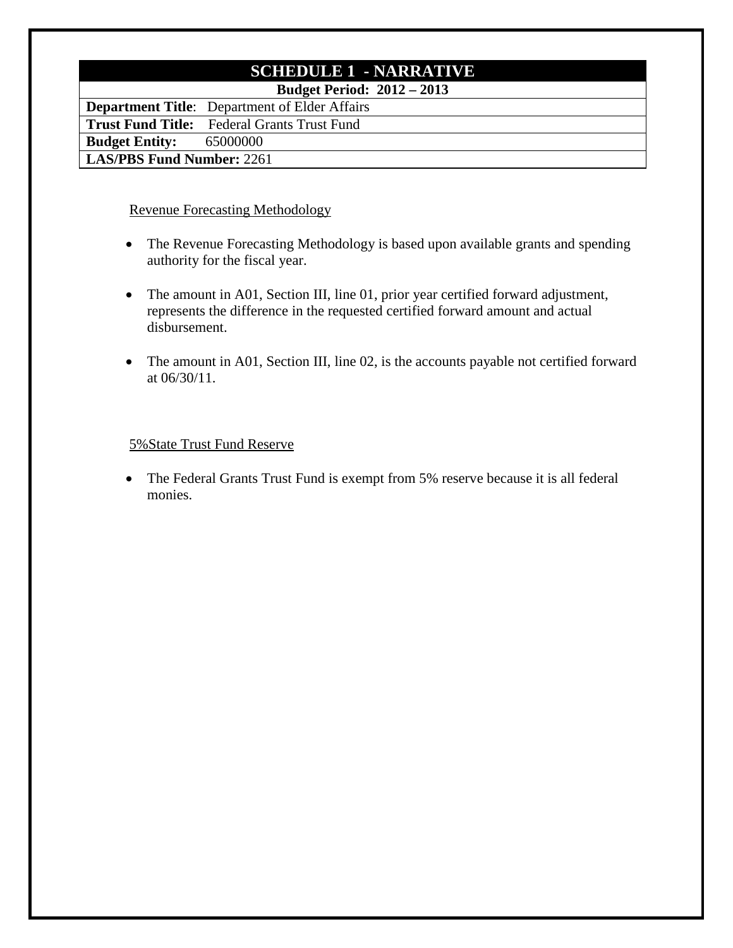# **SCHEDULE 1 - NARRATIVE**

**Budget Period: 2012 – 2013**

**Department Title**: Department of Elder Affairs **Trust Fund Title:** Federal Grants Trust Fund **Budget Entity:** 65000000 **LAS/PBS Fund Number:** 2261

## Revenue Forecasting Methodology

- The Revenue Forecasting Methodology is based upon available grants and spending authority for the fiscal year.
- The amount in A01, Section III, line 01, prior year certified forward adjustment, represents the difference in the requested certified forward amount and actual disbursement.
- The amount in A01, Section III, line 02, is the accounts payable not certified forward at 06/30/11.

## 5%State Trust Fund Reserve

• The Federal Grants Trust Fund is exempt from 5% reserve because it is all federal monies.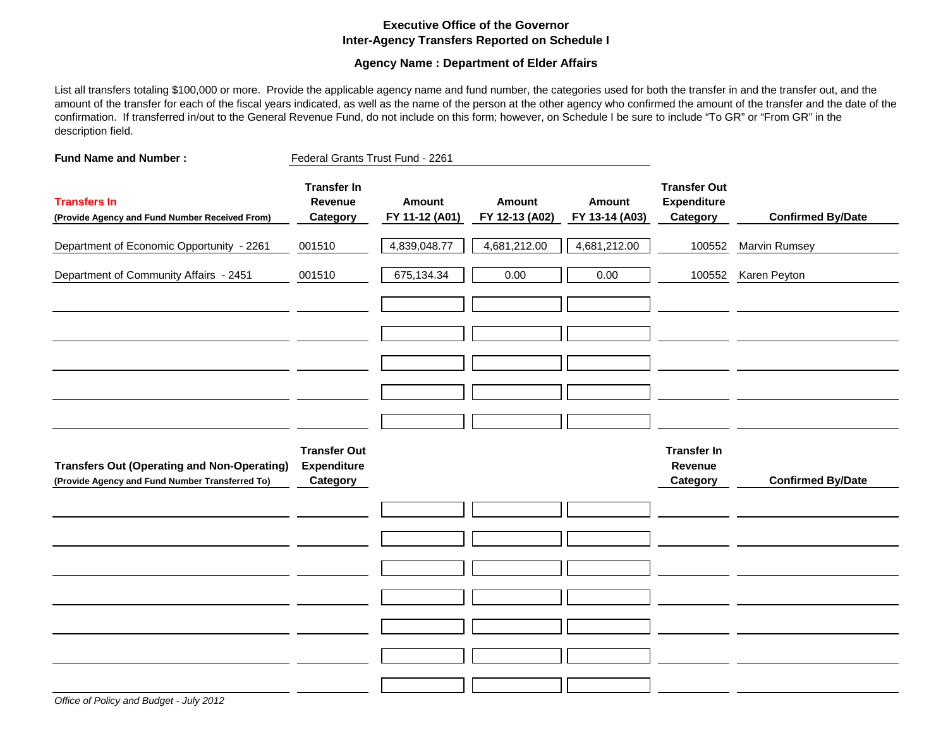### **Executive Office of the Governor Inter-Agency Transfers Reported on Schedule I**

### **Agency Name : Department of Elder Affairs**

List all transfers totaling \$100,000 or more. Provide the applicable agency name and fund number, the categories used for both the transfer in and the transfer out, and the amount of the transfer for each of the fiscal years indicated, as well as the name of the person at the other agency who confirmed the amount of the transfer and the date of the confirmation. If transferred in/out to the General Revenue Fund, do not include on this form; however, on Schedule I be sure to include "To GR" or "From GR" in the description field.

| <b>Fund Name and Number:</b>                                                                          | Federal Grants Trust Fund - 2261                      |                          |                                 |                          |                                                       |                          |
|-------------------------------------------------------------------------------------------------------|-------------------------------------------------------|--------------------------|---------------------------------|--------------------------|-------------------------------------------------------|--------------------------|
| <b>Transfers In</b><br>(Provide Agency and Fund Number Received From)                                 | <b>Transfer In</b><br>Revenue<br>Category             | Amount<br>FY 11-12 (A01) | <b>Amount</b><br>FY 12-13 (A02) | Amount<br>FY 13-14 (A03) | <b>Transfer Out</b><br><b>Expenditure</b><br>Category | <b>Confirmed By/Date</b> |
| Department of Economic Opportunity - 2261                                                             | 001510                                                | 4,839,048.77             | 4,681,212.00                    | 4,681,212.00             | 100552                                                | Marvin Rumsey            |
| Department of Community Affairs - 2451                                                                | 001510                                                | 675,134.34               | 0.00                            | 0.00                     | 100552                                                | Karen Peyton             |
|                                                                                                       |                                                       |                          |                                 |                          |                                                       |                          |
|                                                                                                       |                                                       |                          |                                 |                          |                                                       |                          |
|                                                                                                       |                                                       |                          |                                 |                          |                                                       |                          |
|                                                                                                       |                                                       |                          |                                 |                          |                                                       |                          |
|                                                                                                       |                                                       |                          |                                 |                          |                                                       |                          |
| <b>Transfers Out (Operating and Non-Operating)</b><br>(Provide Agency and Fund Number Transferred To) | <b>Transfer Out</b><br><b>Expenditure</b><br>Category |                          |                                 |                          | <b>Transfer In</b><br>Revenue<br>Category             | <b>Confirmed By/Date</b> |
|                                                                                                       |                                                       |                          |                                 |                          |                                                       |                          |
|                                                                                                       |                                                       |                          |                                 |                          |                                                       |                          |
|                                                                                                       |                                                       |                          |                                 |                          |                                                       |                          |
|                                                                                                       |                                                       |                          |                                 |                          |                                                       |                          |
|                                                                                                       |                                                       |                          |                                 |                          |                                                       |                          |
|                                                                                                       |                                                       |                          |                                 |                          |                                                       |                          |
|                                                                                                       |                                                       |                          |                                 |                          |                                                       |                          |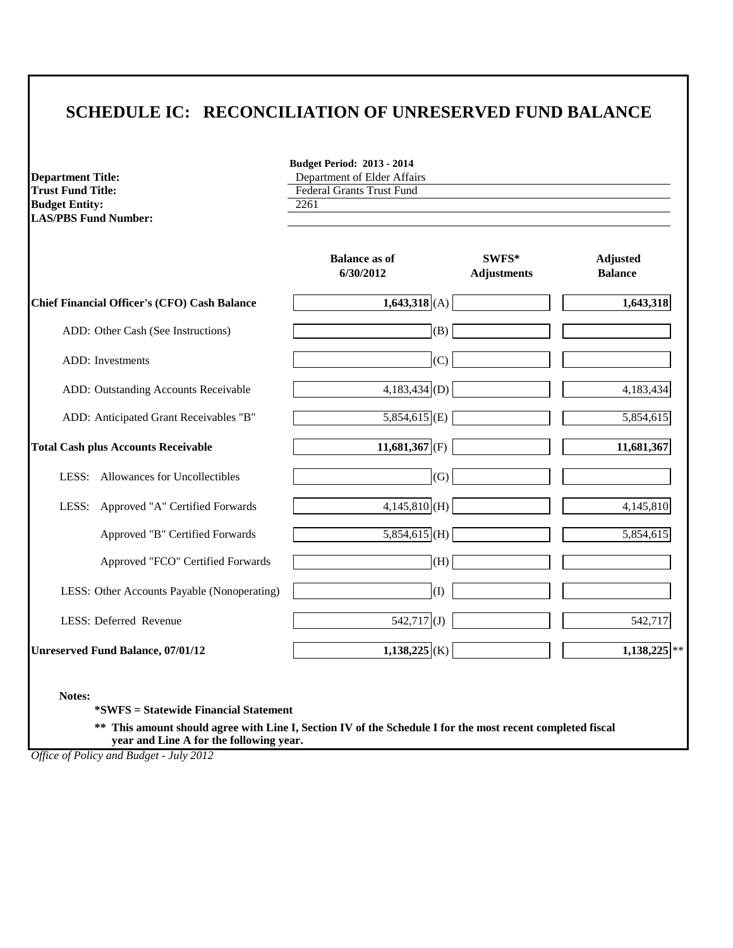# **SCHEDULE IC: RECONCILIATION OF UNRESERVED FUND BALANCE**

**Department Title:**<br> **Department of Elder Affairs**<br> **Department of Elder Affairs**<br> **Department of Elder Affairs Budget Entity: LAS/PBS Fund Number:** 

**Budget Period: 2013 - 2014**

Federal Grants Trust Fund<br>2261

|                                                     | <b>Balance as of</b><br>6/30/2012 | SWFS*<br><b>Adjustments</b> | <b>Adjusted</b><br><b>Balance</b> |
|-----------------------------------------------------|-----------------------------------|-----------------------------|-----------------------------------|
| <b>Chief Financial Officer's (CFO) Cash Balance</b> | $1,643,318$ (A)                   |                             | 1,643,318                         |
| ADD: Other Cash (See Instructions)                  | (B)                               |                             |                                   |
| <b>ADD</b> : Investments                            | (C)                               |                             |                                   |
| ADD: Outstanding Accounts Receivable                | $4,183,434 $ (D)                  |                             | 4,183,434                         |
| ADD: Anticipated Grant Receivables "B"              | $5,854,615$ <sub>(E)</sub>        |                             | 5,854,615                         |
| <b>Total Cash plus Accounts Receivable</b>          | 11,681,367 (F)                    |                             | 11,681,367                        |
| Allowances for Uncollectibles<br>LESS:              | (G)                               |                             |                                   |
| LESS: Approved "A" Certified Forwards               | $4,145,810$ (H)                   |                             | 4,145,810                         |
| Approved "B" Certified Forwards                     | $5,854,615$ (H)                   |                             | 5,854,615                         |
| Approved "FCO" Certified Forwards                   | (H)                               |                             |                                   |
| LESS: Other Accounts Payable (Nonoperating)         | (I)                               |                             |                                   |
| LESS: Deferred Revenue                              | $542,717$ (J)                     |                             | 542,717                           |
| <b>Unreserved Fund Balance, 07/01/12</b>            | $1,138,225$ <sub>(K)</sub>        |                             | $1,138,225$ **                    |

**Notes:**

**\*SWFS = Statewide Financial Statement** 

**\*\* This amount should agree with Line I, Section IV of the Schedule I for the most recent completed fiscal year and Line A for the following year.**

*Office of Policy and Budget - July 2012*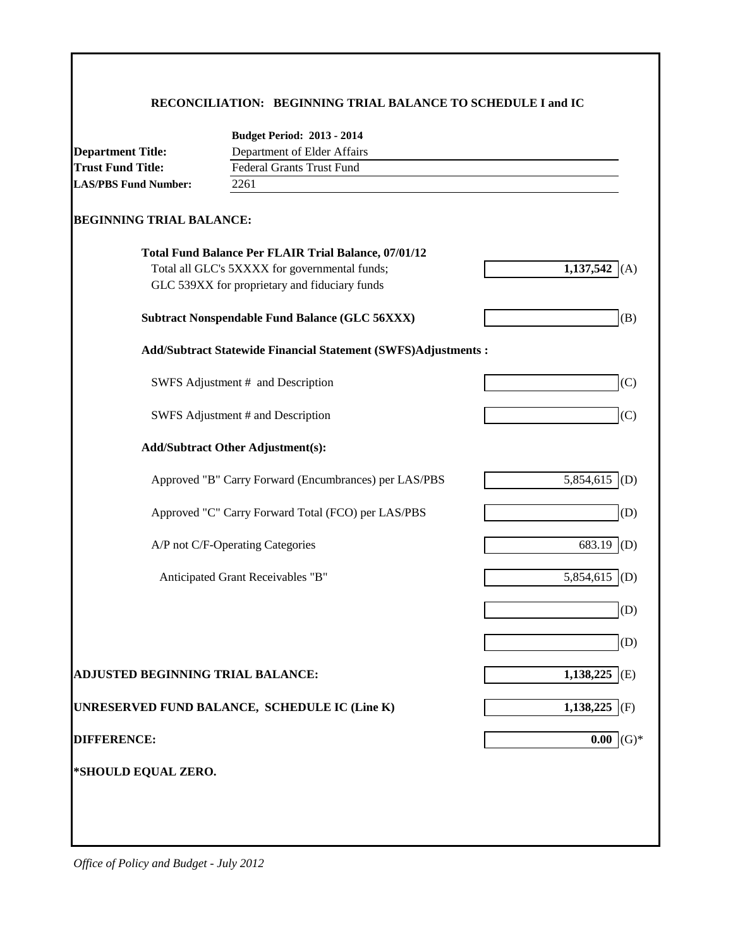## **RECONCILIATION: BEGINNING TRIAL BALANCE TO SCHEDULE I and IC**

|                                   | <b>Budget Period: 2013 - 2014</b>                                    |                  |
|-----------------------------------|----------------------------------------------------------------------|------------------|
| <b>Department Title:</b>          | Department of Elder Affairs                                          |                  |
| <b>Trust Fund Title:</b>          | <b>Federal Grants Trust Fund</b>                                     |                  |
| <b>LAS/PBS Fund Number:</b>       | 2261                                                                 |                  |
| <b>BEGINNING TRIAL BALANCE:</b>   |                                                                      |                  |
|                                   | <b>Total Fund Balance Per FLAIR Trial Balance, 07/01/12</b>          |                  |
|                                   | Total all GLC's 5XXXX for governmental funds;                        | 1,137,542<br>(A) |
|                                   | GLC 539XX for proprietary and fiduciary funds                        |                  |
|                                   | <b>Subtract Nonspendable Fund Balance (GLC 56XXX)</b>                | (B)              |
|                                   | <b>Add/Subtract Statewide Financial Statement (SWFS)Adjustments:</b> |                  |
|                                   | SWFS Adjustment # and Description                                    | (C)              |
|                                   | SWFS Adjustment # and Description                                    | (C)              |
|                                   | <b>Add/Subtract Other Adjustment(s):</b>                             |                  |
|                                   | Approved "B" Carry Forward (Encumbrances) per LAS/PBS                | 5,854,615<br>(D) |
|                                   | Approved "C" Carry Forward Total (FCO) per LAS/PBS                   | (D)              |
|                                   | A/P not C/F-Operating Categories                                     | 683.19<br>(D)    |
|                                   | Anticipated Grant Receivables "B"                                    | (D)<br>5,854,615 |
|                                   |                                                                      | (D)              |
|                                   |                                                                      | (D)              |
| ADJUSTED BEGINNING TRIAL BALANCE: |                                                                      | 1,138,225<br>(E) |
|                                   | UNRESERVED FUND BALANCE, SCHEDULE IC (Line K)                        | 1,138,225<br>(F) |
| <b>DIFFERENCE:</b>                |                                                                      | 0.00             |
| *SHOULD EQUAL ZERO.               |                                                                      |                  |
|                                   |                                                                      |                  |
|                                   |                                                                      |                  |
|                                   |                                                                      |                  |

*Office of Policy and Budget - July 2012*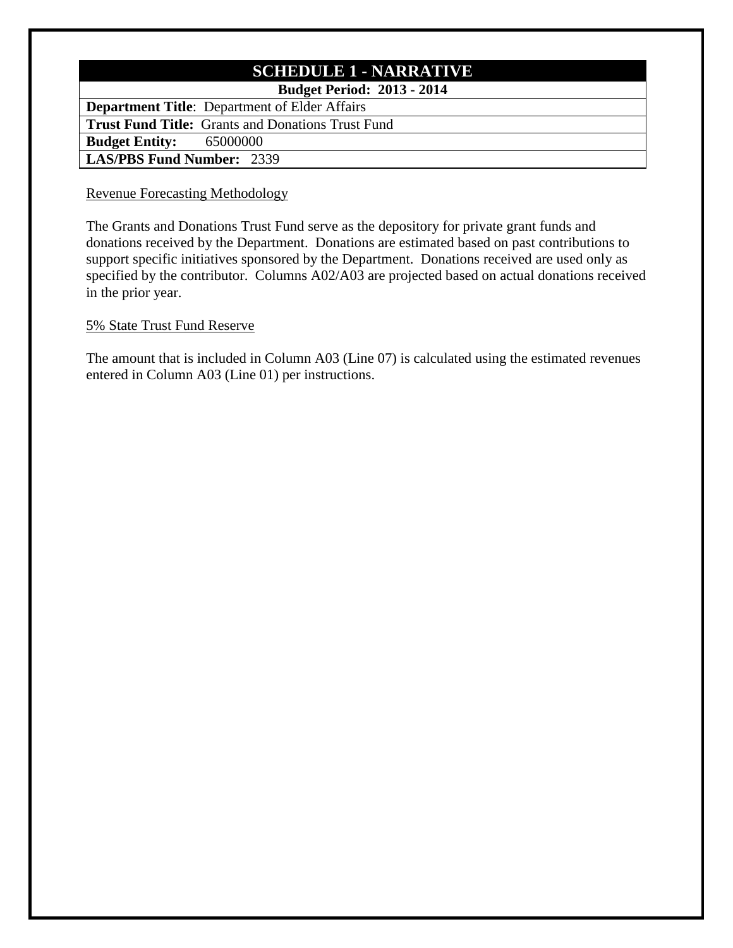# **SCHEDULE 1 - NARRATIVE**

# **Budget Period: 2013 - 2014**

**Department Title**: Department of Elder Affairs **Trust Fund Title:** Grants and Donations Trust Fund **Budget Entity:** 65000000 **LAS/PBS Fund Number:** 2339

## Revenue Forecasting Methodology

The Grants and Donations Trust Fund serve as the depository for private grant funds and donations received by the Department. Donations are estimated based on past contributions to support specific initiatives sponsored by the Department. Donations received are used only as specified by the contributor. Columns A02/A03 are projected based on actual donations received in the prior year.

## 5% State Trust Fund Reserve

The amount that is included in Column A03 (Line 07) is calculated using the estimated revenues entered in Column A03 (Line 01) per instructions.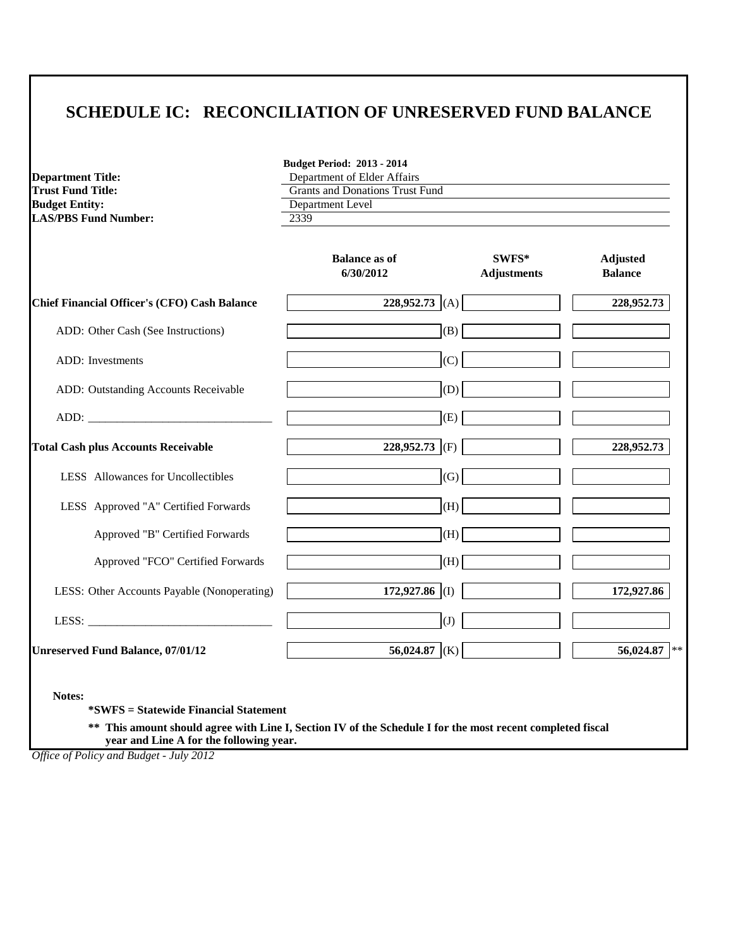# **SCHEDULE IC: RECONCILIATION OF UNRESERVED FUND BALANCE**

**Budget Period: 2013 - 2014**

| <b>Department Title:</b>                                           | Department of Elder Affairs       |                             |                                   |
|--------------------------------------------------------------------|-----------------------------------|-----------------------------|-----------------------------------|
| <b>Trust Fund Title:</b><br><b>Grants and Donations Trust Fund</b> |                                   |                             |                                   |
| <b>Budget Entity:</b>                                              | Department Level                  |                             |                                   |
| <b>LAS/PBS Fund Number:</b>                                        | 2339                              |                             |                                   |
|                                                                    | <b>Balance as of</b><br>6/30/2012 | SWFS*<br><b>Adjustments</b> | <b>Adjusted</b><br><b>Balance</b> |
| <b>Chief Financial Officer's (CFO) Cash Balance</b>                | 228,952.73 $(A)$                  |                             | 228,952.73                        |
| ADD: Other Cash (See Instructions)                                 | (B)                               |                             |                                   |
| <b>ADD</b> : Investments                                           | (C)                               |                             |                                   |
| ADD: Outstanding Accounts Receivable                               | (D)                               |                             |                                   |
|                                                                    | (E)                               |                             |                                   |
| <b>Total Cash plus Accounts Receivable</b>                         | 228,952.73 (F)                    |                             | 228,952.73                        |
| LESS Allowances for Uncollectibles                                 | (G)                               |                             |                                   |
| LESS Approved "A" Certified Forwards                               | (H)                               |                             |                                   |
| Approved "B" Certified Forwards                                    | (H)                               |                             |                                   |
| Approved "FCO" Certified Forwards                                  | (H)                               |                             |                                   |
| LESS: Other Accounts Payable (Nonoperating)                        | 172,927.86 (I)                    |                             | 172,927.86                        |
|                                                                    | (J)                               |                             |                                   |
| <b>Unreserved Fund Balance, 07/01/12</b>                           | 56,024.87 (K)                     |                             | 56,024.87                         |

**Notes:**

**\*SWFS = Statewide Financial Statement** 

**\*\* This amount should agree with Line I, Section IV of the Schedule I for the most recent completed fiscal year and Line A for the following year.**

*Office of Policy and Budget - July 2012*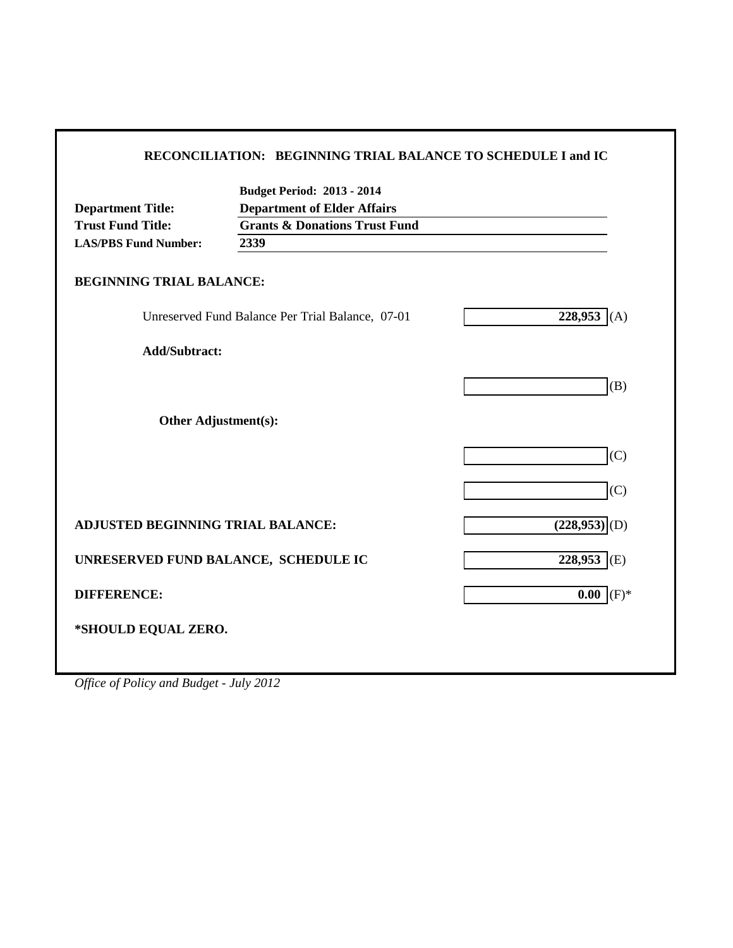|                                   | <b>Budget Period: 2013 - 2014</b>                |                            |
|-----------------------------------|--------------------------------------------------|----------------------------|
| <b>Department Title:</b>          | <b>Department of Elder Affairs</b>               |                            |
| <b>Trust Fund Title:</b>          | <b>Grants &amp; Donations Trust Fund</b>         |                            |
| <b>LAS/PBS Fund Number:</b>       | 2339                                             |                            |
| <b>BEGINNING TRIAL BALANCE:</b>   |                                                  |                            |
|                                   | Unreserved Fund Balance Per Trial Balance, 07-01 | 228,953<br>(A)             |
| <b>Add/Subtract:</b>              |                                                  |                            |
|                                   |                                                  | (B)                        |
|                                   |                                                  |                            |
| Other Adjustment(s):              |                                                  |                            |
|                                   |                                                  | (C)                        |
|                                   |                                                  |                            |
|                                   |                                                  | (C)                        |
| ADJUSTED BEGINNING TRIAL BALANCE: |                                                  | $(228,953)$ <sub>(D)</sub> |
|                                   |                                                  |                            |
|                                   | UNRESERVED FUND BALANCE, SCHEDULE IC             | 228,953<br>(E)             |
| <b>DIFFERENCE:</b>                |                                                  | $(F)^*$<br>$0.00\,$        |
|                                   |                                                  |                            |

*Office of Policy and Budget - July 2012*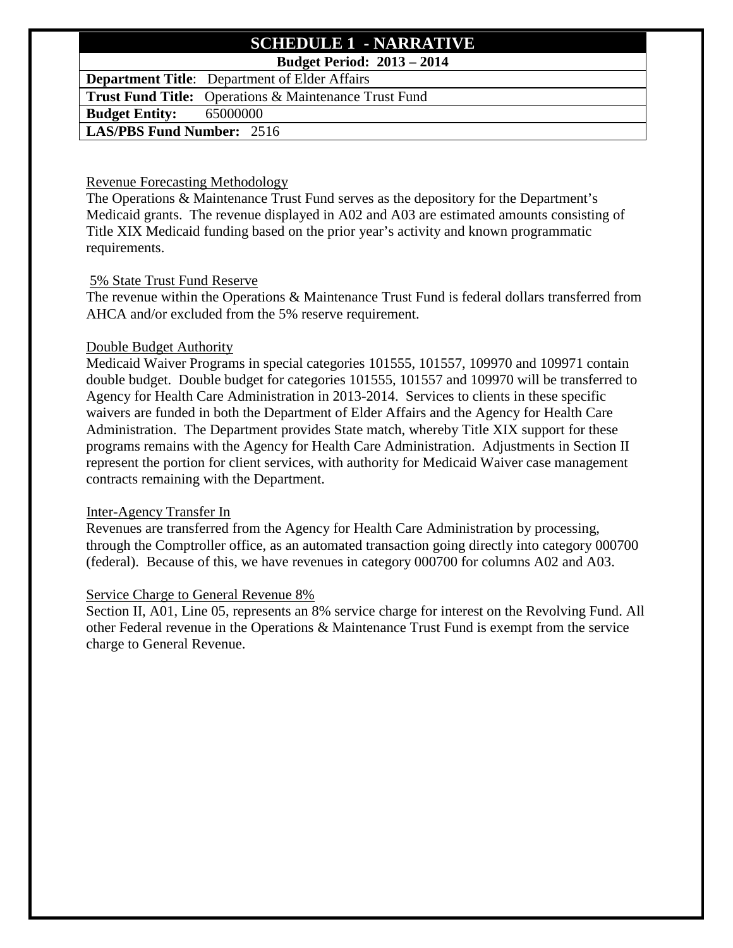# **SCHEDULE 1 - NARRATIVE**

# **Budget Period: 2013 – 2014**

**Department Title**: Department of Elder Affairs

**Trust Fund Title:** Operations & Maintenance Trust Fund

**Budget Entity:** 65000000

# **LAS/PBS Fund Number:** 2516

## Revenue Forecasting Methodology

The Operations & Maintenance Trust Fund serves as the depository for the Department's Medicaid grants. The revenue displayed in A02 and A03 are estimated amounts consisting of Title XIX Medicaid funding based on the prior year's activity and known programmatic requirements.

## 5% State Trust Fund Reserve

The revenue within the Operations & Maintenance Trust Fund is federal dollars transferred from AHCA and/or excluded from the 5% reserve requirement.

## Double Budget Authority

Medicaid Waiver Programs in special categories 101555, 101557, 109970 and 109971 contain double budget. Double budget for categories 101555, 101557 and 109970 will be transferred to Agency for Health Care Administration in 2013-2014. Services to clients in these specific waivers are funded in both the Department of Elder Affairs and the Agency for Health Care Administration. The Department provides State match, whereby Title XIX support for these programs remains with the Agency for Health Care Administration. Adjustments in Section II represent the portion for client services, with authority for Medicaid Waiver case management contracts remaining with the Department.

## Inter-Agency Transfer In

Revenues are transferred from the Agency for Health Care Administration by processing, through the Comptroller office, as an automated transaction going directly into category 000700 (federal). Because of this, we have revenues in category 000700 for columns A02 and A03.

## Service Charge to General Revenue 8%

Section II, A01, Line 05, represents an 8% service charge for interest on the Revolving Fund. All other Federal revenue in the Operations & Maintenance Trust Fund is exempt from the service charge to General Revenue.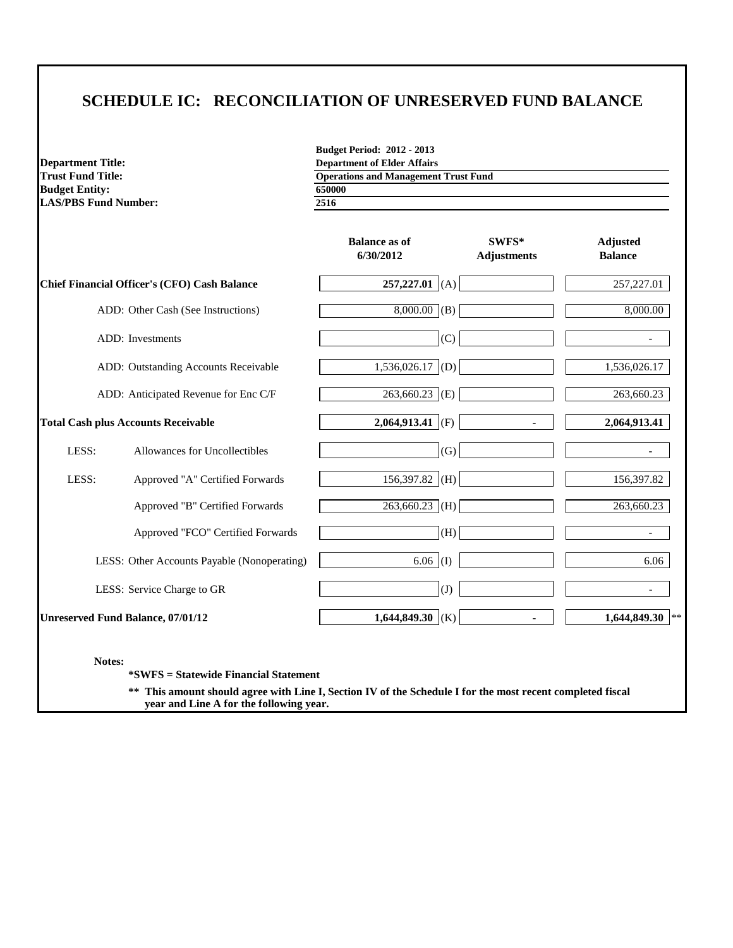# **SCHEDULE IC: RECONCILIATION OF UNRESERVED FUND BALANCE**

**Budget Entity: LAS/PBS Fund Number: 2516**

**Budget Period: 2012 - 2013 Department Title: Department Title: Department of Elder Affairs Department of Elder Affairs Operations and Management Operations and Management Trust Fund**<br>**650000** 

|       |                                              | <b>Balance as of</b><br>6/30/2012 | SWFS*<br><b>Adjustments</b> | <b>Adjusted</b><br><b>Balance</b> |
|-------|----------------------------------------------|-----------------------------------|-----------------------------|-----------------------------------|
|       | Chief Financial Officer's (CFO) Cash Balance | $257,227.01$ (A)                  |                             | 257,227.01                        |
|       | ADD: Other Cash (See Instructions)           | $8,000.00$ (B)                    |                             | 8,000.00                          |
|       | ADD: Investments                             | (C)                               |                             |                                   |
|       | ADD: Outstanding Accounts Receivable         | 1,536,026.17<br>(D)               |                             | 1,536,026.17                      |
|       | ADD: Anticipated Revenue for Enc C/F         | $263,660.23$ (E)                  |                             | 263,660.23                        |
|       | <b>Total Cash plus Accounts Receivable</b>   | 2,064,913.41 (F)                  |                             | 2,064,913.41                      |
| LESS: | Allowances for Uncollectibles                | (G)                               |                             |                                   |
| LESS: | Approved "A" Certified Forwards              | 156,397.82<br>(H)                 |                             | 156,397.82                        |
|       | Approved "B" Certified Forwards              | $263,660.23$ (H)                  |                             | 263,660.23                        |
|       | Approved "FCO" Certified Forwards            | (H)                               |                             |                                   |
|       | LESS: Other Accounts Payable (Nonoperating)  | $6.06$ (I)                        |                             | 6.06                              |
|       | LESS: Service Charge to GR                   | (J)                               |                             | $\overline{\phantom{0}}$          |
|       | <b>Unreserved Fund Balance, 07/01/12</b>     | 1,644,849.30<br>(K)               |                             | 1,644,849.30<br>**                |

**Notes:**

**\*SWFS = Statewide Financial Statement** 

**\*\* This amount should agree with Line I, Section IV of the Schedule I for the most recent completed fiscal year and Line A for the following year.**